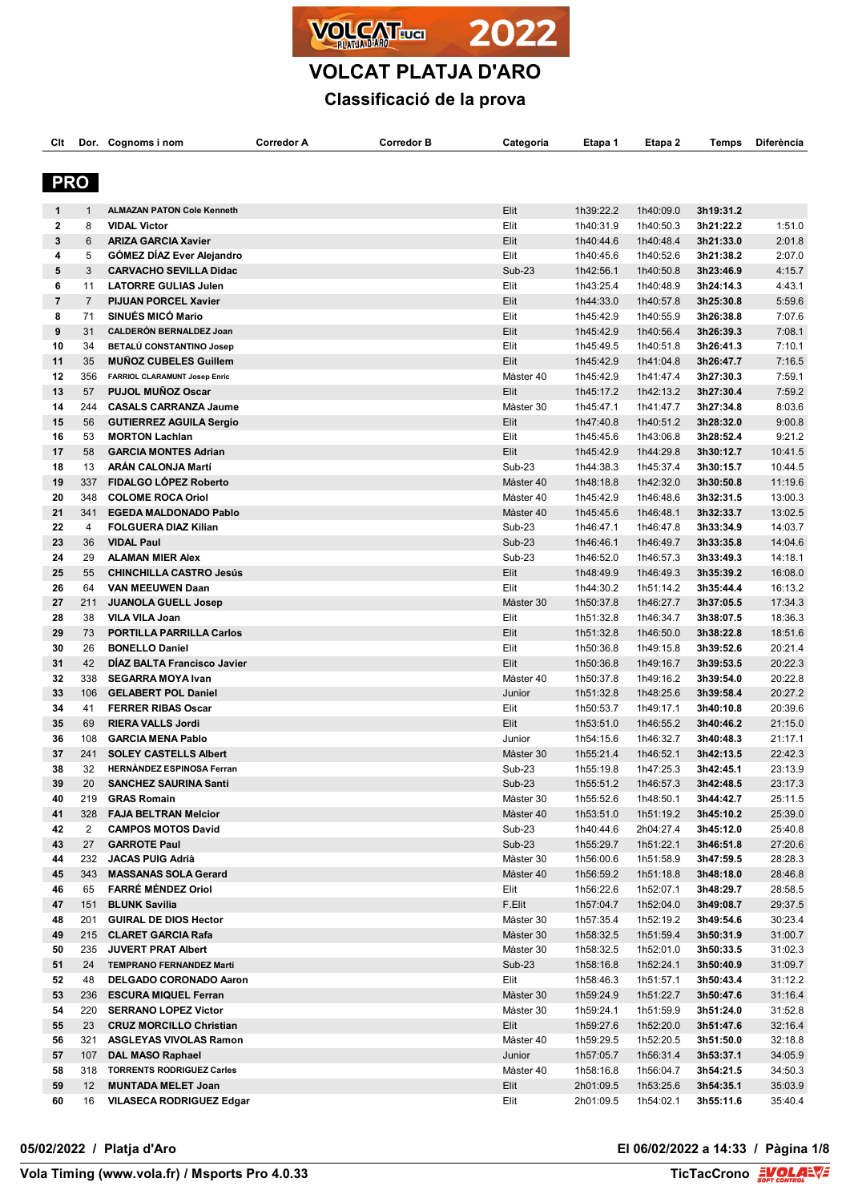



# **VOLCAT PLATJA D'ARO**

# **Classificació de la prova**

| Clt        |                | Dor. Cognoms i nom                                           | <b>Corredor A</b> | Corredor B | Categoria              | Etapa 1                | Etapa 2                | Temps                  | <b>Diferència</b>  |
|------------|----------------|--------------------------------------------------------------|-------------------|------------|------------------------|------------------------|------------------------|------------------------|--------------------|
|            |                |                                                              |                   |            |                        |                        |                        |                        |                    |
| <b>PRO</b> |                |                                                              |                   |            |                        |                        |                        |                        |                    |
|            |                |                                                              |                   |            |                        |                        |                        |                        |                    |
| 1          | $\mathbf{1}$   | <b>ALMAZAN PATON Cole Kenneth</b>                            |                   |            | Elit                   | 1h39:22.2              | 1h40:09.0              | 3h19:31.2              |                    |
| 2          | 8              | <b>VIDAL Victor</b>                                          |                   |            | Elit                   | 1h40:31.9              | 1h40:50.3              | 3h21:22.2              | 1:51.0             |
| 3          | 6              | <b>ARIZA GARCIA Xavier</b>                                   |                   |            | Elit                   | 1h40:44.6              | 1h40:48.4              | 3h21:33.0              | 2:01.8             |
| 4          | 5              | GÓMEZ DÍAZ Ever Alejandro                                    |                   |            | Elit                   | 1h40:45.6              | 1h40:52.6              | 3h21:38.2              | 2:07.0             |
| 5<br>6     | 3<br>11        | <b>CARVACHO SEVILLA Didac</b><br><b>LATORRE GULIAS Julen</b> |                   |            | <b>Sub-23</b><br>Elit  | 1h42:56.1              | 1h40:50.8              | 3h23:46.9<br>3h24:14.3 | 4:15.7<br>4:43.1   |
| 7          | $\overline{7}$ | <b>PIJUAN PORCEL Xavier</b>                                  |                   |            | Elit                   | 1h43:25.4<br>1h44:33.0 | 1h40:48.9<br>1h40:57.8 | 3h25:30.8              | 5:59.6             |
| 8          | 71             | SINUÉS MICÓ Mario                                            |                   |            | Elit                   | 1h45:42.9              | 1h40:55.9              | 3h26:38.8              | 7:07.6             |
| 9          | 31             | <b>CALDERÓN BERNALDEZ Joan</b>                               |                   |            | Elit                   | 1h45:42.9              | 1h40:56.4              | 3h26:39.3              | 7:08.1             |
| 10         | 34             | BETALÚ CONSTANTINO Josep                                     |                   |            | Elit                   | 1h45:49.5              | 1h40:51.8              | 3h26:41.3              | 7:10.1             |
| 11         | 35             | <b>MUÑOZ CUBELES Guillem</b>                                 |                   |            | Elit                   | 1h45:42.9              | 1h41:04.8              | 3h26:47.7              | 7:16.5             |
| 12         | 356            | <b>FARRIOL CLARAMUNT Josep Enric</b>                         |                   |            | Màster 40              | 1h45:42.9              | 1h41:47.4              | 3h27:30.3              | 7:59.1             |
| 13         | 57             | <b>PUJOL MUÑOZ Oscar</b>                                     |                   |            | Elit                   | 1h45:17.2              | 1h42:13.2              | 3h27:30.4              | 7:59.2             |
| 14         | 244            | <b>CASALS CARRANZA Jaume</b>                                 |                   |            | Màster 30              | 1h45:47.1              | 1h41:47.7              | 3h27:34.8              | 8:03.6             |
| 15         | 56             | <b>GUTIERREZ AGUILA Sergio</b>                               |                   |            | Elit                   | 1h47:40.8              | 1h40:51.2              | 3h28:32.0              | 9:00.8             |
| 16         | 53             | <b>MORTON Lachlan</b>                                        |                   |            | Elit                   | 1h45:45.6              | 1h43:06.8              | 3h28:52.4              | 9:21.2             |
| 17         | 58             | <b>GARCIA MONTES Adrian</b>                                  |                   |            | Elit                   | 1h45:42.9              | 1h44:29.8              | 3h30:12.7              | 10:41.5            |
| 18         | 13             | <b>ARÁN CALONJA Martí</b>                                    |                   |            | <b>Sub-23</b>          | 1h44:38.3              | 1h45:37.4              | 3h30:15.7              | 10:44.5            |
| 19         | 337            | FIDALGO LÓPEZ Roberto                                        |                   |            | Màster 40              | 1h48:18.8              | 1h42:32.0              | 3h30:50.8              | 11:19.6            |
| 20         | 348            | <b>COLOME ROCA Oriol</b>                                     |                   |            | Màster 40              | 1h45:42.9              | 1h46:48.6              | 3h32:31.5              | 13:00.3            |
| 21         | 341            | <b>EGEDA MALDONADO Pablo</b>                                 |                   |            | Màster 40              | 1h45:45.6              | 1h46:48.1              | 3h32:33.7              | 13:02.5            |
| 22         | 4              | <b>FOLGUERA DIAZ Kilian</b>                                  |                   |            | <b>Sub-23</b>          | 1h46:47.1              | 1h46:47.8              | 3h33:34.9              | 14:03.7            |
| 23         | 36             | <b>VIDAL Paul</b>                                            |                   |            | <b>Sub-23</b>          | 1h46:46.1              | 1h46:49.7              | 3h33:35.8              | 14:04.6            |
| 24         | 29             | <b>ALAMAN MIER Alex</b>                                      |                   |            | <b>Sub-23</b>          | 1h46:52.0              | 1h46:57.3              | 3h33:49.3              | 14:18.1            |
| 25         | 55             | <b>CHINCHILLA CASTRO Jesús</b>                               |                   |            | Elit                   | 1h48:49.9              | 1h46:49.3              | 3h35:39.2              | 16:08.0            |
| 26         | 64             | <b>VAN MEEUWEN Daan</b>                                      |                   |            | Elit                   | 1h44:30.2              | 1h51:14.2              | 3h35:44.4              | 16:13.2            |
| 27         | 211            | <b>JUANOLA GUELL Josep</b>                                   |                   |            | Màster 30              | 1h50:37.8              | 1h46:27.7              | 3h37:05.5              | 17:34.3            |
| 28         | 38             | <b>VILA VILA Joan</b>                                        |                   |            | Elit                   | 1h51:32.8              | 1h46:34.7              | 3h38:07.5              | 18:36.3            |
| 29         | 73             | <b>PORTILLA PARRILLA Carlos</b>                              |                   |            | Elit                   | 1h51:32.8              | 1h46:50.0              | 3h38:22.8              | 18:51.6            |
| 30         | 26             | <b>BONELLO Daniel</b>                                        |                   |            | Elit                   | 1h50:36.8              | 1h49:15.8              | 3h39:52.6              | 20:21.4            |
| 31         | 42             | DIAZ BALTA Francisco Javier                                  |                   |            | Elit                   | 1h50:36.8              | 1h49:16.7              | 3h39:53.5              | 20:22.3            |
| 32         | 338            | <b>SEGARRA MOYA Ivan</b>                                     |                   |            | Màster 40              | 1h50:37.8              | 1h49:16.2              | 3h39:54.0              | 20:22.8            |
| 33         | 106            | <b>GELABERT POL Daniel</b>                                   |                   |            | Junior                 | 1h51:32.8              | 1h48:25.6              | 3h39:58.4              | 20:27.2            |
| 34         | 41             | <b>FERRER RIBAS Oscar</b>                                    |                   |            | Elit                   | 1h50:53.7              | 1h49:17.1              | 3h40:10.8              | 20:39.6            |
| 35         | 69             | <b>RIERA VALLS Jordi</b>                                     |                   |            | Elit                   | 1h53:51.0              | 1h46:55.2              | 3h40:46.2              | 21:15.0            |
| 36         | 108            | <b>GARCIA MENA Pablo</b>                                     |                   |            | Junior                 | 1h54:15.6              | 1h46:32.7              | 3h40:48.3              | 21:17.1            |
| 37         | 241            | <b>SOLEY CASTELLS Albert</b>                                 |                   |            | Màster 30              | 1h55:21.4              | 1h46:52.1              | 3h42:13.5              | 22:42.3            |
| 38         | 32             | <b>HERNÀNDEZ ESPINOSA Ferran</b>                             |                   |            | Sub-23                 | 1h55:19.8              | 1h47:25.3              | 3h42:45.1              | 23:13.9            |
| 39         | 20             | <b>SANCHEZ SAURINA Santi</b>                                 |                   |            | <b>Sub-23</b>          | 1h55:51.2              | 1h46:57.3              | 3h42:48.5              | 23:17.3            |
| 40<br>41   | 219<br>328     | <b>GRAS Romain</b><br><b>FAJA BELTRAN Melcior</b>            |                   |            | Màster 30<br>Màster 40 | 1h55:52.6<br>1h53:51.0 | 1h48:50.1<br>1h51:19.2 | 3h44:42.7<br>3h45:10.2 | 25:11.5<br>25:39.0 |
| 42         | 2              | <b>CAMPOS MOTOS David</b>                                    |                   |            | Sub-23                 | 1h40:44.6              | 2h04:27.4              | 3h45:12.0              | 25:40.8            |
| 43         | 27             | <b>GARROTE Paul</b>                                          |                   |            | Sub-23                 | 1h55:29.7              | 1h51:22.1              | 3h46:51.8              | 27:20.6            |
| 44         | 232            | <b>JACAS PUIG Adrià</b>                                      |                   |            | Màster 30              | 1h56:00.6              | 1h51:58.9              | 3h47:59.5              | 28:28.3            |
| 45         | 343            | <b>MASSANAS SOLA Gerard</b>                                  |                   |            | Màster 40              | 1h56:59.2              | 1h51:18.8              | 3h48:18.0              | 28:46.8            |
| 46         | 65             | <b>FARRÉ MÉNDEZ Oriol</b>                                    |                   |            | Elit                   | 1h56:22.6              | 1h52:07.1              | 3h48:29.7              | 28:58.5            |
| 47         | 151            | <b>BLUNK Savilia</b>                                         |                   |            | F.Elit                 | 1h57:04.7              | 1h52:04.0              | 3h49:08.7              | 29:37.5            |
| 48         | 201            | <b>GUIRAL DE DIOS Hector</b>                                 |                   |            | Màster 30              | 1h57:35.4              | 1h52:19.2              | 3h49:54.6              | 30:23.4            |
| 49         |                | 215 CLARET GARCIA Rafa                                       |                   |            | Màster 30              | 1h58:32.5              | 1h51:59.4              | 3h50:31.9              | 31:00.7            |
| 50         | 235            | <b>JUVERT PRAT Albert</b>                                    |                   |            | Màster 30              | 1h58:32.5              | 1h52:01.0              | 3h50:33.5              | 31:02.3            |
| 51         | 24             | <b>TEMPRANO FERNANDEZ Marti</b>                              |                   |            | $Sub-23$               | 1h58:16.8              | 1h52:24.1              | 3h50:40.9              | 31:09.7            |
| 52         | 48             | DELGADO CORONADO Aaron                                       |                   |            | Elit                   | 1h58:46.3              | 1h51:57.1              | 3h50:43.4              | 31:12.2            |
| 53         | 236            | <b>ESCURA MIQUEL Ferran</b>                                  |                   |            | Màster 30              | 1h59:24.9              | 1h51:22.7              | 3h50:47.6              | 31:16.4            |
| 54         | 220            | <b>SERRANO LOPEZ Victor</b>                                  |                   |            | Màster 30              | 1h59:24.1              | 1h51:59.9              | 3h51:24.0              | 31:52.8            |
| 55         | 23             | <b>CRUZ MORCILLO Christian</b>                               |                   |            | Elit                   | 1h59:27.6              | 1h52:20.0              | 3h51:47.6              | 32:16.4            |
| 56         | 321            | <b>ASGLEYAS VIVOLAS Ramon</b>                                |                   |            | Màster 40              | 1h59:29.5              | 1h52:20.5              | 3h51:50.0              | 32:18.8            |
| 57         | 107            | <b>DAL MASO Raphael</b>                                      |                   |            | Junior                 | 1h57:05.7              | 1h56:31.4              | 3h53:37.1              | 34:05.9            |
| 58         | 318            | <b>TORRENTS RODRIGUEZ Carles</b>                             |                   |            | Màster 40              | 1h58:16.8              | 1h56:04.7              | 3h54:21.5              | 34:50.3            |
| 59         | 12             | <b>MUNTADA MELET Joan</b>                                    |                   |            | Elit                   | 2h01:09.5              | 1h53:25.6              | 3h54:35.1              | 35:03.9            |
| 60         |                | 16 VILASECA RODRIGUEZ Edgar                                  |                   |            | Elit                   | 2h01:09.5              | 1h54:02.1              | 3h55:11.6              | 35:40.4            |

#### **05/02/2022 / Platja d'Aro El 06/02/2022 a 14:33 / Pàgina 1/8**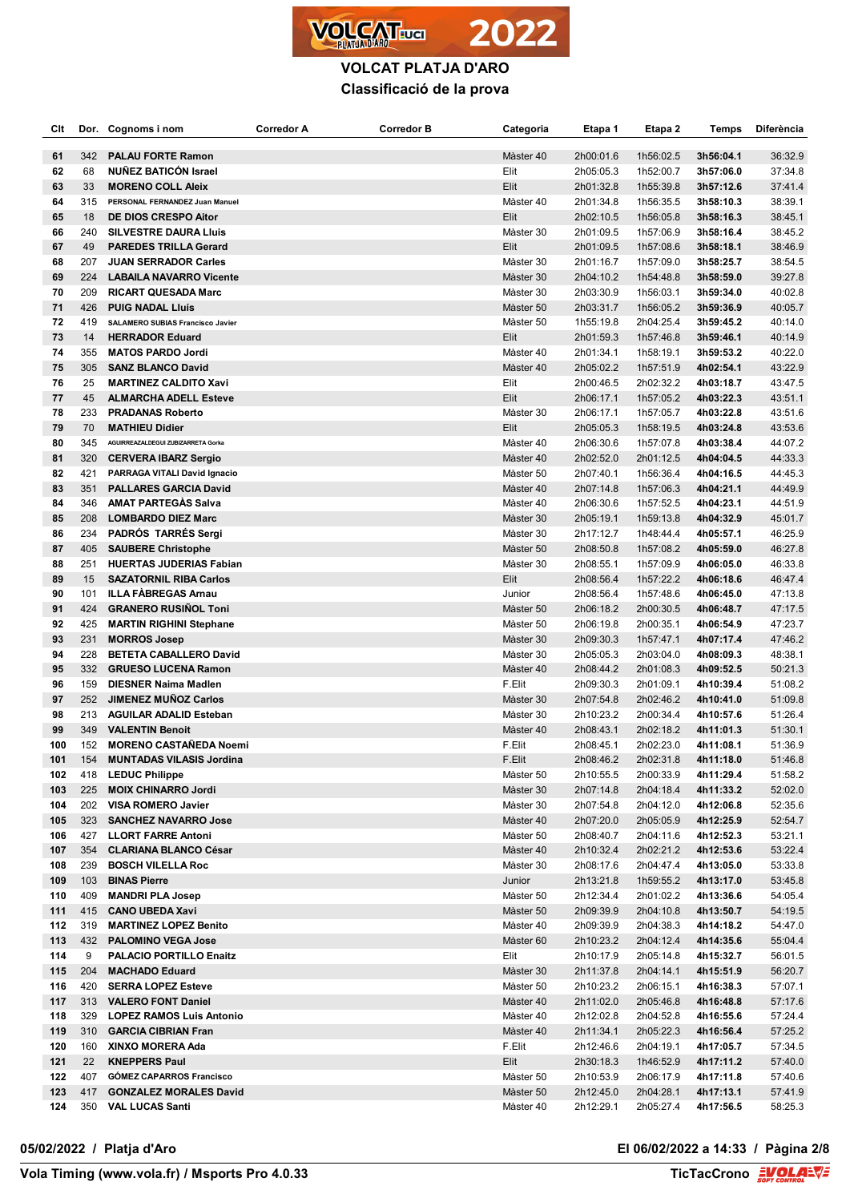

| Clt        |            | Dor. Cognoms i nom                                           | Corredor A | <b>Corredor B</b> | Categoria              | Etapa 1                | Etapa 2                | Temps                  | Diferència         |
|------------|------------|--------------------------------------------------------------|------------|-------------------|------------------------|------------------------|------------------------|------------------------|--------------------|
| 61         | 342        | <b>PALAU FORTE Ramon</b>                                     |            |                   | Màster 40              | 2h00:01.6              | 1h56:02.5              | 3h56:04.1              | 36:32.9            |
| 62         | 68         | <b>NUÑEZ BATICÓN Israel</b>                                  |            |                   | Elit                   | 2h05:05.3              | 1h52:00.7              | 3h57:06.0              | 37:34.8            |
| 63         | 33         | <b>MORENO COLL Aleix</b>                                     |            |                   | Elit                   | 2h01:32.8              | 1h55:39.8              | 3h57:12.6              | 37:41.4            |
| 64         | 315        | PERSONAL FERNANDEZ Juan Manuel                               |            |                   | Màster 40              | 2h01:34.8              | 1h56:35.5              | 3h58:10.3              | 38:39.1            |
| 65         | 18         | DE DIOS CRESPO Aitor                                         |            |                   | Elit                   | 2h02:10.5              | 1h56:05.8              | 3h58:16.3              | 38:45.1            |
| 66         | 240        | <b>SILVESTRE DAURA LIUIS</b>                                 |            |                   | Màster 30              | 2h01:09.5              | 1h57:06.9              | 3h58:16.4              | 38:45.2            |
| 67         | 49         | <b>PAREDES TRILLA Gerard</b>                                 |            |                   | Elit                   | 2h01:09.5              | 1h57:08.6              | 3h58:18.1              | 38:46.9            |
| 68         | 207        | <b>JUAN SERRADOR Carles</b>                                  |            |                   | Màster 30              | 2h01:16.7              | 1h57:09.0              | 3h58:25.7              | 38:54.5            |
| 69         | 224        | <b>LABAILA NAVARRO Vicente</b>                               |            |                   | Màster 30              | 2h04:10.2              | 1h54:48.8              | 3h58:59.0              | 39:27.8            |
| 70         | 209        | <b>RICART QUESADA Marc</b>                                   |            |                   | Màster 30              | 2h03:30.9              | 1h56:03.1              | 3h59:34.0              | 40:02.8            |
| 71         | 426        | <b>PUIG NADAL Lluís</b>                                      |            |                   | Màster 50              | 2h03:31.7              | 1h56:05.2              | 3h59:36.9              | 40:05.7            |
| 72         | 419        | <b>SALAMERO SUBIAS Francisco Javier</b>                      |            |                   | Màster 50              | 1h55:19.8              | 2h04:25.4              | 3h59:45.2              | 40:14.0            |
| 73         | 14         | <b>HERRADOR Eduard</b>                                       |            |                   | Elit                   | 2h01:59.3              | 1h57:46.8              | 3h59:46.1              | 40:14.9            |
| 74         | 355        | <b>MATOS PARDO Jordi</b>                                     |            |                   | Màster 40              | 2h01:34.1              | 1h58:19.1              | 3h59:53.2              | 40:22.0            |
| 75<br>76   | 305<br>25  | <b>SANZ BLANCO David</b>                                     |            |                   | Màster 40<br>Elit      | 2h05:02.2              | 1h57:51.9              | 4h02:54.1              | 43:22.9<br>43:47.5 |
| 77         | 45         | <b>MARTINEZ CALDITO Xavi</b><br><b>ALMARCHA ADELL Esteve</b> |            |                   | Elit                   | 2h00:46.5<br>2h06:17.1 | 2h02:32.2<br>1h57:05.2 | 4h03:18.7<br>4h03:22.3 | 43:51.1            |
| 78         | 233        | <b>PRADANAS Roberto</b>                                      |            |                   | Màster 30              | 2h06:17.1              | 1h57:05.7              | 4h03:22.8              | 43:51.6            |
| 79         | 70         | <b>MATHIEU Didier</b>                                        |            |                   | Elit                   | 2h05:05.3              | 1h58:19.5              | 4h03:24.8              | 43:53.6            |
| 80         | 345        | AGUIRREAZALDEGUI ZUBIZARRETA Gorka                           |            |                   | Màster 40              | 2h06:30.6              | 1h57:07.8              | 4h03:38.4              | 44:07.2            |
| 81         | 320        | <b>CERVERA IBARZ Sergio</b>                                  |            |                   | Màster 40              | 2h02:52.0              | 2h01:12.5              | 4h04:04.5              | 44:33.3            |
| 82         | 421        | PARRAGA VITALI David Ignacio                                 |            |                   | Màster 50              | 2h07:40.1              | 1h56:36.4              | 4h04:16.5              | 44:45.3            |
| 83         | 351        | <b>PALLARES GARCIA David</b>                                 |            |                   | Màster 40              | 2h07:14.8              | 1h57:06.3              | 4h04:21.1              | 44:49.9            |
| 84         | 346        | <b>AMAT PARTEGAS Salva</b>                                   |            |                   | Màster 40              | 2h06:30.6              | 1h57:52.5              | 4h04:23.1              | 44:51.9            |
| 85         | 208        | <b>LOMBARDO DIEZ Marc</b>                                    |            |                   | Màster 30              | 2h05:19.1              | 1h59:13.8              | 4h04:32.9              | 45:01.7            |
| 86         | 234        | <b>PADRÓS TARRÉS Sergi</b>                                   |            |                   | Màster 30              | 2h17:12.7              | 1h48:44.4              | 4h05:57.1              | 46:25.9            |
| 87         | 405        | <b>SAUBERE Christophe</b>                                    |            |                   | Màster 50              | 2h08:50.8              | 1h57:08.2              | 4h05:59.0              | 46:27.8            |
| 88         | 251        | <b>HUERTAS JUDERIAS Fabian</b>                               |            |                   | Màster 30              | 2h08:55.1              | 1h57:09.9              | 4h06:05.0              | 46:33.8            |
| 89         | 15         | <b>SAZATORNIL RIBA Carlos</b>                                |            |                   | Elit                   | 2h08:56.4              | 1h57:22.2              | 4h06:18.6              | 46:47.4            |
| 90         | 101        | <b>ILLA FABREGAS Arnau</b>                                   |            |                   | Junior                 | 2h08:56.4              | 1h57:48.6              | 4h06:45.0              | 47:13.8            |
| 91         | 424        | <b>GRANERO RUSINOL Toni</b>                                  |            |                   | Màster 50              | 2h06:18.2              | 2h00:30.5              | 4h06:48.7              | 47:17.5            |
| 92         | 425        | <b>MARTIN RIGHINI Stephane</b>                               |            |                   | Màster 50              | 2h06:19.8              | 2h00:35.1              | 4h06:54.9              | 47:23.7            |
| 93         | 231<br>228 | <b>MORROS Josep</b>                                          |            |                   | Màster 30              | 2h09:30.3              | 1h57:47.1              | 4h07:17.4              | 47:46.2<br>48:38.1 |
| 94<br>95   | 332        | <b>BETETA CABALLERO David</b><br><b>GRUESO LUCENA Ramon</b>  |            |                   | Màster 30<br>Màster 40 | 2h05:05.3<br>2h08:44.2 | 2h03:04.0<br>2h01:08.3 | 4h08:09.3<br>4h09:52.5 | 50:21.3            |
| 96         | 159        | <b>DIESNER Naima Madlen</b>                                  |            |                   | F.Elit                 | 2h09:30.3              | 2h01:09.1              | 4h10:39.4              | 51:08.2            |
| 97         | 252        | <b>JIMENEZ MUNOZ Carlos</b>                                  |            |                   | Màster 30              | 2h07:54.8              | 2h02:46.2              | 4h10:41.0              | 51:09.8            |
| 98         | 213        | <b>AGUILAR ADALID Esteban</b>                                |            |                   | Màster 30              | 2h10:23.2              | 2h00:34.4              | 4h10:57.6              | 51:26.4            |
| 99         | 349        | <b>VALENTIN Benoit</b>                                       |            |                   | Màster 40              | 2h08:43.1              | 2h02:18.2              | 4h11:01.3              | 51:30.1            |
| 100        | 152        | <b>MORENO CASTAÑEDA Noemi</b>                                |            |                   | F.Elit                 | 2h08:45.1              | 2h02:23.0              | 4h11:08.1              | 51:36.9            |
| 101        | 154        | <b>MUNTADAS VILASIS Jordina</b>                              |            |                   | F.Elit                 | 2h08:46.2              | 2h02:31.8              | 4h11:18.0              | 51:46.8            |
| 102        |            | 418 LEDUC Philippe                                           |            |                   | Màster 50              | 2h10:55.5              | 2h00:33.9              | 4h11:29.4              | 51:58.2            |
| 103        | 225        | <b>MOIX CHINARRO Jordi</b>                                   |            |                   | Màster 30              | 2h07:14.8              | 2h04:18.4              | 4h11:33.2              | 52:02.0            |
| 104        |            | 202 VISA ROMERO Javier                                       |            |                   | Màster 30              | 2h07:54.8              | 2h04:12.0              | 4h12:06.8              | 52:35.6            |
| 105        | 323        | <b>SANCHEZ NAVARRO Jose</b>                                  |            |                   | Màster 40              | 2h07:20.0              | 2h05:05.9              | 4h12:25.9              | 52:54.7            |
| 106        | 427        | <b>LLORT FARRE Antoni</b>                                    |            |                   | Màster 50              | 2h08:40.7              | 2h04:11.6              | 4h12:52.3              | 53:21.1            |
| 107        | 354        | <b>CLARIANA BLANCO César</b>                                 |            |                   | Màster 40              | 2h10:32.4              | 2h02:21.2              | 4h12:53.6              | 53:22.4            |
| 108<br>109 | 239<br>103 | <b>BOSCH VILELLA Roc</b><br><b>BINAS Pierre</b>              |            |                   | Màster 30              | 2h08:17.6<br>2h13:21.8 | 2h04:47.4              | 4h13:05.0              | 53:33.8            |
| 110        | 409        | <b>MANDRI PLA Josep</b>                                      |            |                   | Junior<br>Màster 50    | 2h12:34.4              | 1h59:55.2<br>2h01:02.2 | 4h13:17.0<br>4h13:36.6 | 53:45.8<br>54:05.4 |
| 111        | 415        | <b>CANO UBEDA Xavi</b>                                       |            |                   | Màster 50              | 2h09:39.9              | 2h04:10.8              | 4h13:50.7              | 54:19.5            |
| 112        | 319        | <b>MARTINEZ LOPEZ Benito</b>                                 |            |                   | Màster 40              | 2h09:39.9              | 2h04:38.3              | 4h14:18.2              | 54:47.0            |
| 113        |            | 432 PALOMINO VEGA Jose                                       |            |                   | Màster 60              | 2h10:23.2              | 2h04:12.4              | 4h14:35.6              | 55:04.4            |
| 114        | 9          | <b>PALACIO PORTILLO Enaitz</b>                               |            |                   | Elit                   | 2h10:17.9              | 2h05:14.8              | 4h15:32.7              | 56:01.5            |
| 115        | 204        | <b>MACHADO Eduard</b>                                        |            |                   | Màster 30              | 2h11:37.8              | 2h04:14.1              | 4h15:51.9              | 56:20.7            |
| 116        | 420        | <b>SERRA LOPEZ Esteve</b>                                    |            |                   | Màster 50              | 2h10:23.2              | 2h06:15.1              | 4h16:38.3              | 57:07.1            |
| 117        | 313        | <b>VALERO FONT Daniel</b>                                    |            |                   | Màster 40              | 2h11:02.0              | 2h05:46.8              | 4h16:48.8              | 57:17.6            |
| 118        | 329        | <b>LOPEZ RAMOS Luis Antonio</b>                              |            |                   | Màster 40              | 2h12:02.8              | 2h04:52.8              | 4h16:55.6              | 57:24.4            |
| 119        | 310        | <b>GARCIA CIBRIAN Fran</b>                                   |            |                   | Màster 40              | 2h11:34.1              | 2h05:22.3              | 4h16:56.4              | 57:25.2            |
| 120        | 160        | XINXO MORERA Ada                                             |            |                   | F.Elit                 | 2h12:46.6              | 2h04:19.1              | 4h17:05.7              | 57:34.5            |
| 121        | 22         | <b>KNEPPERS Paul</b>                                         |            |                   | Elit                   | 2h30:18.3              | 1h46:52.9              | 4h17:11.2              | 57:40.0            |
| 122        | 407        | <b>GÓMEZ CAPARROS Francisco</b>                              |            |                   | Màster 50              | 2h10:53.9              | 2h06:17.9              | 4h17:11.8              | 57:40.6            |
| 123        | 417        | <b>GONZALEZ MORALES David</b>                                |            |                   | Màster 50              | 2h12:45.0              | 2h04:28.1              | 4h17:13.1              | 57:41.9            |
| 124        |            | 350 VAL LUCAS Santi                                          |            |                   | Màster 40              | 2h12:29.1              | 2h05:27.4              | 4h17:56.5              | 58:25.3            |

**05/02/2022 / Platja d'Aro El 06/02/2022 a 14:33 / Pàgina 2/8**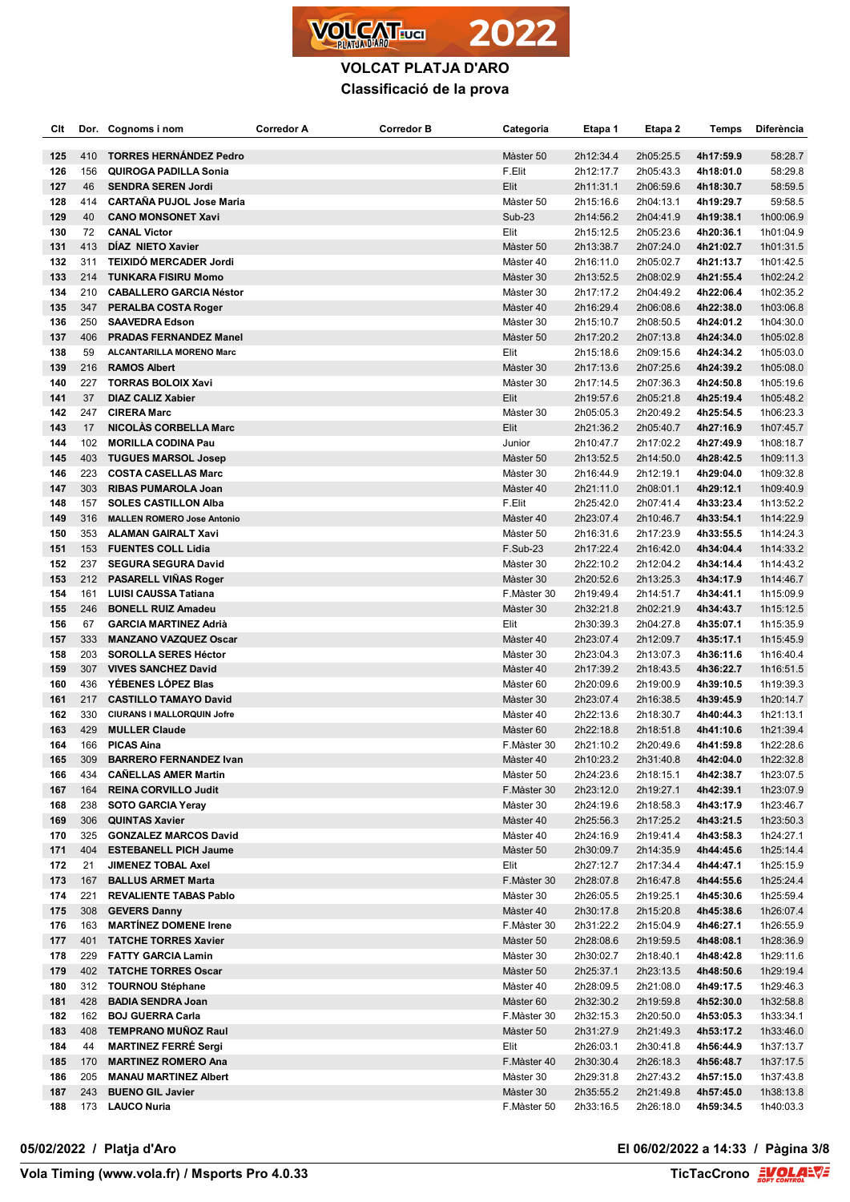

| Clt        |            | Dor. Cognoms i nom                                       | Corredor A | Corredor B | Categoria              | Etapa 1                | Etapa 2                | Temps                  | <b>Diferència</b>      |
|------------|------------|----------------------------------------------------------|------------|------------|------------------------|------------------------|------------------------|------------------------|------------------------|
| 125        | 410        | <b>TORRES HERNANDEZ Pedro</b>                            |            |            | Màster 50              | 2h12:34.4              | 2h05:25.5              | 4h17:59.9              | 58:28.7                |
| 126        | 156        | <b>QUIROGA PADILLA Sonia</b>                             |            |            | F.Elit                 | 2h12:17.7              | 2h05:43.3              | 4h18:01.0              | 58:29.8                |
| 127        | 46         | <b>SENDRA SEREN Jordi</b>                                |            |            | Elit                   | 2h11:31.1              | 2h06:59.6              | 4h18:30.7              | 58:59.5                |
| 128        | 414        | <b>CARTAÑA PUJOL Jose Maria</b>                          |            |            | Màster 50              | 2h15:16.6              | 2h04:13.1              | 4h19:29.7              | 59:58.5                |
| 129        | 40         | <b>CANO MONSONET Xavi</b>                                |            |            | <b>Sub-23</b>          | 2h14:56.2              | 2h04:41.9              | 4h19:38.1              | 1h00:06.9              |
| 130        | 72         | <b>CANAL Victor</b>                                      |            |            | Elit                   | 2h15:12.5              | 2h05:23.6              | 4h20:36.1              | 1h01:04.9              |
| 131        | 413        | DÍAZ NIETO Xavier                                        |            |            | Màster 50              | 2h13:38.7              | 2h07:24.0              | 4h21:02.7              | 1h01:31.5              |
| 132        | 311        | <b>TEIXIDÓ MERCADER Jordi</b>                            |            |            | Màster 40              | 2h16:11.0              | 2h05:02.7              | 4h21:13.7              | 1h01:42.5              |
| 133        | 214        | <b>TUNKARA FISIRU Momo</b>                               |            |            | Màster 30              | 2h13:52.5              | 2h08:02.9              | 4h21:55.4              | 1h02:24.2              |
| 134        | 210        | <b>CABALLERO GARCIA Néstor</b>                           |            |            | Màster 30              | 2h17:17.2              | 2h04:49.2              | 4h22:06.4              | 1h02:35.2              |
| 135        | 347        | PERALBA COSTA Roger                                      |            |            | Màster 40              | 2h16:29.4              | 2h06:08.6              | 4h22:38.0              | 1h03:06.8              |
| 136        | 250        | <b>SAAVEDRA Edson</b>                                    |            |            | Màster 30              | 2h15:10.7              | 2h08:50.5              | 4h24:01.2              | 1h04:30.0              |
| 137        | 406        | <b>PRADAS FERNANDEZ Manel</b>                            |            |            | Màster 50              | 2h17:20.2              | 2h07:13.8              | 4h24:34.0              | 1h05:02.8              |
| 138        | 59         | ALCANTARILLA MORENO Marc                                 |            |            | Elit                   | 2h15:18.6              | 2h09:15.6              | 4h24:34.2              | 1h05:03.0              |
| 139        | 216        | <b>RAMOS Albert</b>                                      |            |            | Màster 30              | 2h17:13.6              | 2h07:25.6              | 4h24:39.2              | 1h05:08.0              |
| 140        | 227        | <b>TORRAS BOLOIX Xavi</b>                                |            |            | Màster 30              | 2h17:14.5              | 2h07:36.3              | 4h24:50.8              | 1h05:19.6              |
| 141        | 37         | <b>DIAZ CALIZ Xabier</b>                                 |            |            | Elit                   | 2h19:57.6              | 2h05:21.8              | 4h25:19.4              | 1h05:48.2              |
| 142        | 247        | <b>CIRERA Marc</b>                                       |            |            | Màster 30              | 2h05:05.3              | 2h20:49.2              | 4h25:54.5              | 1h06:23.3              |
| 143        | 17         | <b>NICOLAS CORBELLA Marc</b>                             |            |            | Elit                   | 2h21:36.2              | 2h05:40.7              | 4h27:16.9              | 1h07:45.7              |
| 144        | 102        | <b>MORILLA CODINA Pau</b>                                |            |            | Junior                 | 2h10:47.7              | 2h17:02.2              | 4h27:49.9              | 1h08:18.7              |
| 145        | 403        | <b>TUGUES MARSOL Josep</b>                               |            |            | Màster 50              | 2h13:52.5              | 2h14:50.0              | 4h28:42.5              | 1h09:11.3              |
| 146        | 223        | <b>COSTA CASELLAS Marc</b>                               |            |            | Màster 30              | 2h16:44.9              | 2h12:19.1              | 4h29:04.0              | 1h09:32.8              |
| 147        | 303        | <b>RIBAS PUMAROLA Joan</b>                               |            |            | Màster 40              | 2h21:11.0              | 2h08:01.1              | 4h29:12.1              | 1h09:40.9              |
| 148        | 157        | <b>SOLES CASTILLON Alba</b>                              |            |            | F.Elit                 | 2h25:42.0              | 2h07:41.4              | 4h33:23.4              | 1h13:52.2              |
| 149        | 316        | <b>MALLEN ROMERO Jose Antonio</b>                        |            |            | Màster 40              | 2h23:07.4              | 2h10:46.7              | 4h33:54.1              | 1h14:22.9              |
| 150        | 353        | <b>ALAMAN GAIRALT Xavi</b>                               |            |            | Màster 50              | 2h16:31.6              | 2h17:23.9              | 4h33:55.5              | 1h14:24.3              |
| 151        | 153        | <b>FUENTES COLL Lidia</b>                                |            |            | F.Sub-23               | 2h17:22.4              | 2h16:42.0              | 4h34:04.4              | 1h14:33.2              |
| 152        | 237        | <b>SEGURA SEGURA David</b>                               |            |            | Màster 30              | 2h22:10.2              | 2h12:04.2              | 4h34:14.4              | 1h14:43.2              |
| 153        | 212        | <b>PASARELL VIÑAS Roger</b>                              |            |            | Màster 30              | 2h20:52.6              | 2h13:25.3              | 4h34:17.9              | 1h14:46.7              |
| 154        | 161        | <b>LUISI CAUSSA Tatiana</b>                              |            |            | F.Màster 30            | 2h19:49.4              | 2h14:51.7              | 4h34:41.1              | 1h15:09.9              |
| 155        | 246        | <b>BONELL RUIZ Amadeu</b>                                |            |            | Màster 30              | 2h32:21.8              | 2h02:21.9              | 4h34:43.7              | 1h15:12.5              |
| 156        | 67         | <b>GARCIA MARTINEZ Adrià</b>                             |            |            | Elit                   | 2h30:39.3              | 2h04:27.8              | 4h35:07.1              | 1h15:35.9              |
| 157        | 333        | <b>MANZANO VAZQUEZ Oscar</b>                             |            |            | Màster 40              | 2h23:07.4              | 2h12:09.7              | 4h35:17.1              | 1h15:45.9              |
| 158        | 203        | <b>SOROLLA SERES Héctor</b>                              |            |            | Màster 30              | 2h23:04.3              | 2h13:07.3              | 4h36:11.6              | 1h16:40.4              |
| 159        | 307        | <b>VIVES SANCHEZ David</b>                               |            |            | Màster 40              | 2h17:39.2              | 2h18:43.5              | 4h36:22.7              | 1h16:51.5              |
| 160        | 436        | YÉBENES LÓPEZ Blas                                       |            |            | Màster 60              | 2h20:09.6              | 2h19:00.9              | 4h39:10.5              | 1h19:39.3              |
| 161        | 217        | <b>CASTILLO TAMAYO David</b>                             |            |            | Màster 30              | 2h23:07.4              | 2h16:38.5              | 4h39:45.9              | 1h20:14.7              |
| 162        | 330        | <b>CIURANS I MALLORQUIN Jofre</b>                        |            |            | Màster 40              | 2h22:13.6              | 2h18:30.7              | 4h40:44.3              | 1h21:13.1              |
| 163        | 429        | <b>MULLER Claude</b>                                     |            |            | Màster 60              | 2h22:18.8              | 2h18:51.8              | 4h41:10.6              | 1h21:39.4              |
| 164        | 166        | <b>PICAS Aina</b>                                        |            |            | F.Màster 30            | 2h21:10.2              | 2h20:49.6              | 4h41:59.8              | 1h22:28.6              |
| 165        | 309        | <b>BARRERO FERNANDEZ Ivan</b>                            |            |            | Màster 40              | 2h10:23.2              | 2h31:40.8              | 4h42:04.0              | 1h22:32.8              |
| 166        | 434        | <b>CANELLAS AMER Martin</b>                              |            |            | Màster 50              | 2h24:23.6              | 2h18:15.1              | 4h42:38.7              | 1h23:07.5              |
| 167        | 164        | <b>REINA CORVILLO Judit</b>                              |            |            | F.Màster 30            | 2h23:12.0              | 2h19:27.1              | 4h42:39.1              | 1h23:07.9              |
| 168        | 238        | <b>SOTO GARCIA Yeray</b>                                 |            |            | Màster 30              | 2h24:19.6              | 2h18:58.3              | 4h43:17.9              | 1h23:46.7              |
| 169        | 306        | <b>QUINTAS Xavier</b>                                    |            |            | Màster 40              | 2h25:56.3              | 2h17:25.2              | 4h43:21.5              | 1h23:50.3              |
| 170        | 325        | <b>GONZALEZ MARCOS David</b>                             |            |            | Màster 40              | 2h24:16.9              | 2h19:41.4              | 4h43:58.3              | 1h24:27.1              |
| 171        | 404        | <b>ESTEBANELL PICH Jaume</b>                             |            |            | Màster 50              | 2h30:09.7              | 2h14:35.9              | 4h44:45.6              | 1h25:14.4              |
| 172        | 21         | <b>JIMENEZ TOBAL Axel</b>                                |            |            | Elit                   | 2h27:12.7              | 2h17:34.4              | 4h44:47.1              | 1h25:15.9              |
| 173        | 167        | <b>BALLUS ARMET Marta</b>                                |            |            | F.Màster 30            | 2h28:07.8              | 2h16:47.8              | 4h44:55.6              | 1h25:24.4              |
| 174        | 221        | <b>REVALIENTE TABAS Pablo</b>                            |            |            | Màster 30              | 2h26:05.5              | 2h19:25.1              | 4h45:30.6              | 1h25:59.4              |
| 175        | 308<br>163 | <b>GEVERS Danny</b><br><b>MARTINEZ DOMENE Irene</b>      |            |            | Màster 40              | 2h30:17.8              | 2h15:20.8              | 4h45:38.6              | 1h26:07.4              |
| 176        | 401        |                                                          |            |            | F.Màster 30            | 2h31:22.2              | 2h15:04.9<br>2h19:59.5 | 4h46:27.1<br>4h48:08.1 | 1h26:55.9              |
| 177<br>178 | 229        | <b>TATCHE TORRES Xavier</b><br><b>FATTY GARCIA Lamin</b> |            |            | Màster 50<br>Màster 30 | 2h28:08.6<br>2h30:02.7 | 2h18:40.1              | 4h48:42.8              | 1h28:36.9<br>1h29:11.6 |
|            | 402        | <b>TATCHE TORRES Oscar</b>                               |            |            | Màster 50              | 2h25:37.1              |                        |                        |                        |
| 179<br>180 | 312        | <b>TOURNOU Stéphane</b>                                  |            |            | Màster 40              | 2h28:09.5              | 2h23:13.5<br>2h21:08.0 | 4h48:50.6<br>4h49:17.5 | 1h29:19.4<br>1h29:46.3 |
| 181        | 428        | <b>BADIA SENDRA Joan</b>                                 |            |            | Màster 60              | 2h32:30.2              | 2h19:59.8              | 4h52:30.0              | 1h32:58.8              |
| 182        | 162        | <b>BOJ GUERRA Carla</b>                                  |            |            | F.Màster 30            | 2h32:15.3              | 2h20:50.0              | 4h53:05.3              | 1h33:34.1              |
| 183        | 408        | <b>TEMPRANO MUNOZ Raul</b>                               |            |            | Màster 50              | 2h31:27.9              | 2h21:49.3              | 4h53:17.2              | 1h33:46.0              |
| 184        | 44         | <b>MARTINEZ FERRÉ Sergi</b>                              |            |            | Elit                   | 2h26:03.1              | 2h30:41.8              | 4h56:44.9              | 1h37:13.7              |
| 185        | 170        | <b>MARTINEZ ROMERO Ana</b>                               |            |            | F.Màster 40            | 2h30:30.4              | 2h26:18.3              | 4h56:48.7              | 1h37:17.5              |
| 186        | 205        | <b>MANAU MARTINEZ Albert</b>                             |            |            | Màster 30              | 2h29:31.8              | 2h27:43.2              | 4h57:15.0              | 1h37:43.8              |
| 187        | 243        | <b>BUENO GIL Javier</b>                                  |            |            | Màster 30              | 2h35:55.2              | 2h21:49.8              | 4h57:45.0              | 1h38:13.8              |
| 188        | 173        | <b>LAUCO Nuria</b>                                       |            |            | F.Màster 50            | 2h33:16.5              | 2h26:18.0              | 4h59:34.5              | 1h40:03.3              |
|            |            |                                                          |            |            |                        |                        |                        |                        |                        |

**05/02/2022 / Platja d'Aro El 06/02/2022 a 14:33 / Pàgina 3/8**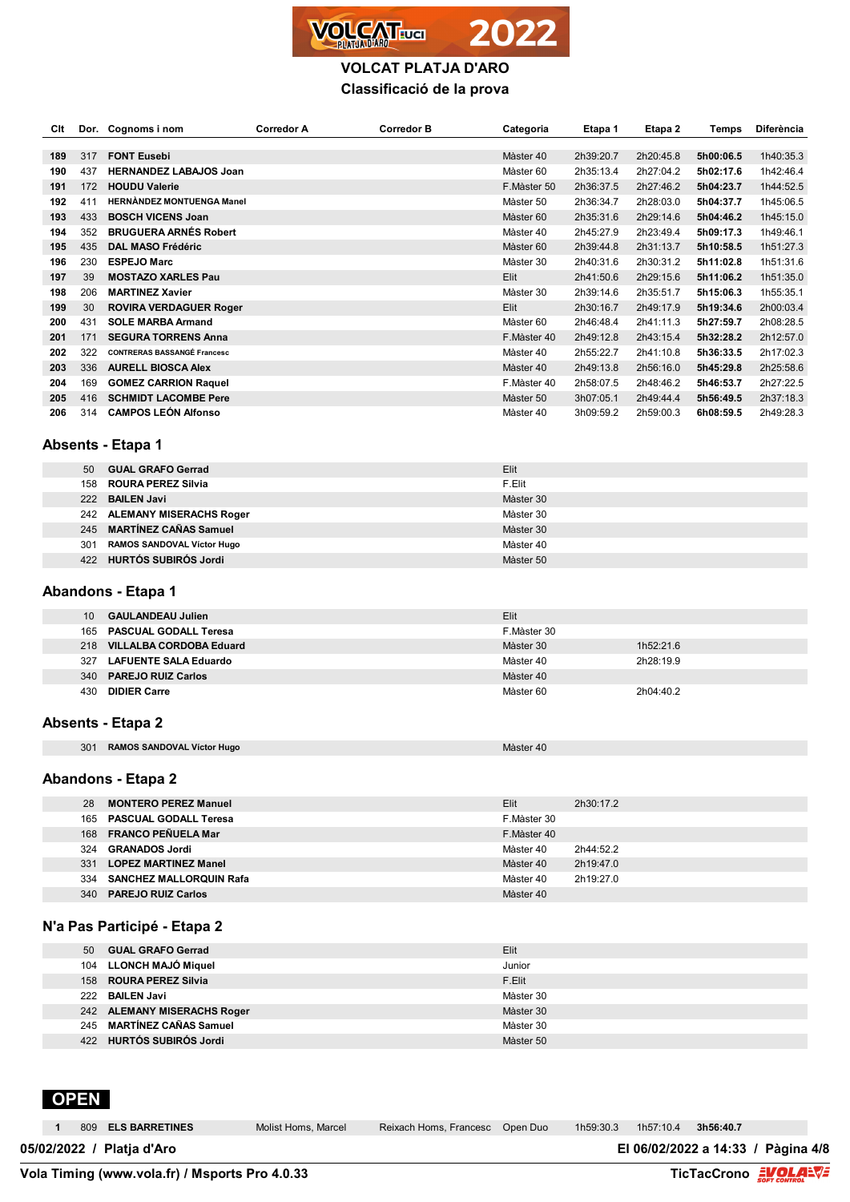

| Clt |                 | Dor. Cognoms i nom                 | <b>Corredor A</b> | <b>Corredor B</b> | Categoria   | Etapa 1   | Etapa 2   | Temps     | Diferència |
|-----|-----------------|------------------------------------|-------------------|-------------------|-------------|-----------|-----------|-----------|------------|
| 189 | 317             | <b>FONT Eusebi</b>                 |                   |                   | Màster 40   | 2h39:20.7 | 2h20:45.8 | 5h00:06.5 | 1h40:35.3  |
| 190 | 437             | <b>HERNANDEZ LABAJOS Joan</b>      |                   |                   | Màster 60   | 2h35:13.4 | 2h27:04.2 | 5h02:17.6 | 1h42:46.4  |
| 191 | 172             | <b>HOUDU Valerie</b>               |                   |                   | F.Màster 50 | 2h36:37.5 | 2h27:46.2 | 5h04:23.7 | 1h44:52.5  |
|     |                 | <b>HERNANDEZ MONTUENGA Manel</b>   |                   |                   |             |           |           |           |            |
| 192 | 411             |                                    |                   |                   | Màster 50   | 2h36:34.7 | 2h28:03.0 | 5h04:37.7 | 1h45:06.5  |
| 193 | 433             | <b>BOSCH VICENS Joan</b>           |                   |                   | Màster 60   | 2h35:31.6 | 2h29:14.6 | 5h04:46.2 | 1h45:15.0  |
| 194 | 352             | <b>BRUGUERA ARNÉS Robert</b>       |                   |                   | Màster 40   | 2h45:27.9 | 2h23:49.4 | 5h09:17.3 | 1h49:46.1  |
| 195 | 435             | <b>DAL MASO Frédéric</b>           |                   |                   | Màster 60   | 2h39:44.8 | 2h31:13.7 | 5h10:58.5 | 1h51:27.3  |
| 196 | 230             | <b>ESPEJO Marc</b>                 |                   |                   | Màster 30   | 2h40:31.6 | 2h30:31.2 | 5h11:02.8 | 1h51:31.6  |
| 197 | 39              | <b>MOSTAZO XARLES Pau</b>          |                   |                   | Elit        | 2h41:50.6 | 2h29:15.6 | 5h11:06.2 | 1h51:35.0  |
| 198 | 206             | <b>MARTINEZ Xavier</b>             |                   |                   | Màster 30   | 2h39:14.6 | 2h35:51.7 | 5h15:06.3 | 1h55:35.1  |
| 199 | 30              | <b>ROVIRA VERDAGUER Roger</b>      |                   |                   | Elit        | 2h30:16.7 | 2h49:17.9 | 5h19:34.6 | 2h00:03.4  |
| 200 | 431             | <b>SOLE MARBA Armand</b>           |                   |                   | Màster 60   | 2h46:48.4 | 2h41:11.3 | 5h27:59.7 | 2h08:28.5  |
| 201 | 171             | <b>SEGURA TORRENS Anna</b>         |                   |                   | F.Màster 40 | 2h49:12.8 | 2h43:15.4 | 5h32:28.2 | 2h12:57.0  |
| 202 | 322             | <b>CONTRERAS BASSANGÉ Francesc</b> |                   |                   | Màster 40   | 2h55:22.7 | 2h41:10.8 | 5h36:33.5 | 2h17:02.3  |
| 203 | 336             | <b>AURELL BIOSCA Alex</b>          |                   |                   | Màster 40   | 2h49:13.8 | 2h56:16.0 | 5h45:29.8 | 2h25:58.6  |
| 204 | 169             | <b>GOMEZ CARRION Raquel</b>        |                   |                   | F.Màster 40 | 2h58:07.5 | 2h48:46.2 | 5h46:53.7 | 2h27:22.5  |
| 205 | 416             | <b>SCHMIDT LACOMBE Pere</b>        |                   |                   | Màster 50   | 3h07:05.1 | 2h49:44.4 | 5h56:49.5 | 2h37:18.3  |
| 206 |                 | 314 CAMPOS LEÓN Alfonso            |                   |                   | Màster 40   | 3h09:59.2 | 2h59:00.3 | 6h08:59.5 | 2h49:28.3  |
|     |                 |                                    |                   |                   |             |           |           |           |            |
|     |                 | Absents - Etapa 1                  |                   |                   |             |           |           |           |            |
|     | 50              | <b>GUAL GRAFO Gerrad</b>           |                   |                   | Elit        |           |           |           |            |
|     | 158             | <b>ROURA PEREZ Silvia</b>          |                   |                   | F.Elit      |           |           |           |            |
|     | 222             | <b>BAILEN Javi</b>                 |                   |                   | Màster 30   |           |           |           |            |
|     |                 |                                    |                   |                   | Màster 30   |           |           |           |            |
|     |                 | 242 ALEMANY MISERACHS Roger        |                   |                   |             |           |           |           |            |
|     | 245             | <b>MARTINEZ CAÑAS Samuel</b>       |                   |                   | Màster 30   |           |           |           |            |
|     | 301             | RAMOS SANDOVAL Víctor Hugo         |                   |                   | Màster 40   |           |           |           |            |
|     |                 | 422 HURTÓS SUBIRÓS Jordi           |                   |                   | Màster 50   |           |           |           |            |
|     |                 | Abandons - Etapa 1                 |                   |                   |             |           |           |           |            |
|     | 10 <sup>°</sup> | <b>GAULANDEAU Julien</b>           |                   |                   | Elit        |           |           |           |            |
|     | 165             | <b>PASCUAL GODALL Teresa</b>       |                   |                   | F.Màster 30 |           |           |           |            |
|     | 218             | <b>VILLALBA CORDOBA Eduard</b>     |                   |                   | Màster 30   |           | 1h52:21.6 |           |            |
|     | 327             | <b>LAFUENTE SALA Eduardo</b>       |                   |                   | Màster 40   |           | 2h28:19.9 |           |            |
|     | 340             | <b>PAREJO RUIZ Carlos</b>          |                   |                   | Màster 40   |           |           |           |            |
|     | 430             | <b>DIDIER Carre</b>                |                   |                   | Màster 60   |           | 2h04:40.2 |           |            |
|     |                 | <b>Absents - Etapa 2</b>           |                   |                   |             |           |           |           |            |
|     |                 |                                    |                   |                   |             |           |           |           |            |
|     |                 | 301 RAMOS SANDOVAL Víctor Hugo     |                   |                   | Màster 40   |           |           |           |            |
|     |                 | <b>Abandons - Etapa 2</b>          |                   |                   |             |           |           |           |            |
|     | 28              | <b>MONTERO PEREZ Manuel</b>        |                   |                   | Elit        | 2h30:17.2 |           |           |            |
|     |                 | 165 PASCUAL GODALL Teresa          |                   |                   | F.Màster 30 |           |           |           |            |
|     |                 | 168 FRANCO PEÑUELA Mar             |                   |                   | F.Màster 40 |           |           |           |            |
|     |                 | 324 GRANADOS Jordi                 |                   |                   | Màster 40   | 2h44:52.2 |           |           |            |
|     |                 | 331 LOPEZ MARTINEZ Manel           |                   |                   | Màster 40   | 2h19:47.0 |           |           |            |
|     |                 | 334 SANCHEZ MALLORQUIN Rafa        |                   |                   | Màster 40   | 2h19:27.0 |           |           |            |
|     |                 | 340 PAREJO RUIZ Carlos             |                   |                   | Màster 40   |           |           |           |            |
|     |                 |                                    |                   |                   |             |           |           |           |            |
|     |                 | N'a Pas Participé - Etapa 2        |                   |                   |             |           |           |           |            |
|     | 50              | <b>GUAL GRAFO Gerrad</b>           |                   |                   | Elit        |           |           |           |            |
|     |                 | 104 LLONCH MAJÓ Miquel             |                   |                   | Junior      |           |           |           |            |
|     |                 | 158 ROURA PEREZ Silvia             |                   |                   | F.Elit      |           |           |           |            |
|     |                 | 222 BAILEN Javi                    |                   |                   | Màster 30   |           |           |           |            |
|     |                 | 242 ALEMANY MISERACHS Roger        |                   |                   | Màster 30   |           |           |           |            |
|     |                 | 245 MARTÍNEZ CAÑAS Samuel          |                   |                   | Màster 30   |           |           |           |            |
|     |                 | 422 HURTÓS SUBIRÓS Jordi           |                   |                   | Màster 50   |           |           |           |            |
|     |                 |                                    |                   |                   |             |           |           |           |            |
|     |                 |                                    |                   |                   |             |           |           |           |            |

#### **OPEN**

809 **ELS BARRETINES** Molist Homs, Marcel Reixach Homs, Francesc Open Duo 1h59:30.3 1h57:10.4 **3h56:40.7**

**05/02/2022 / Platja d'Aro El 06/02/2022 a 14:33 / Pàgina 4/8**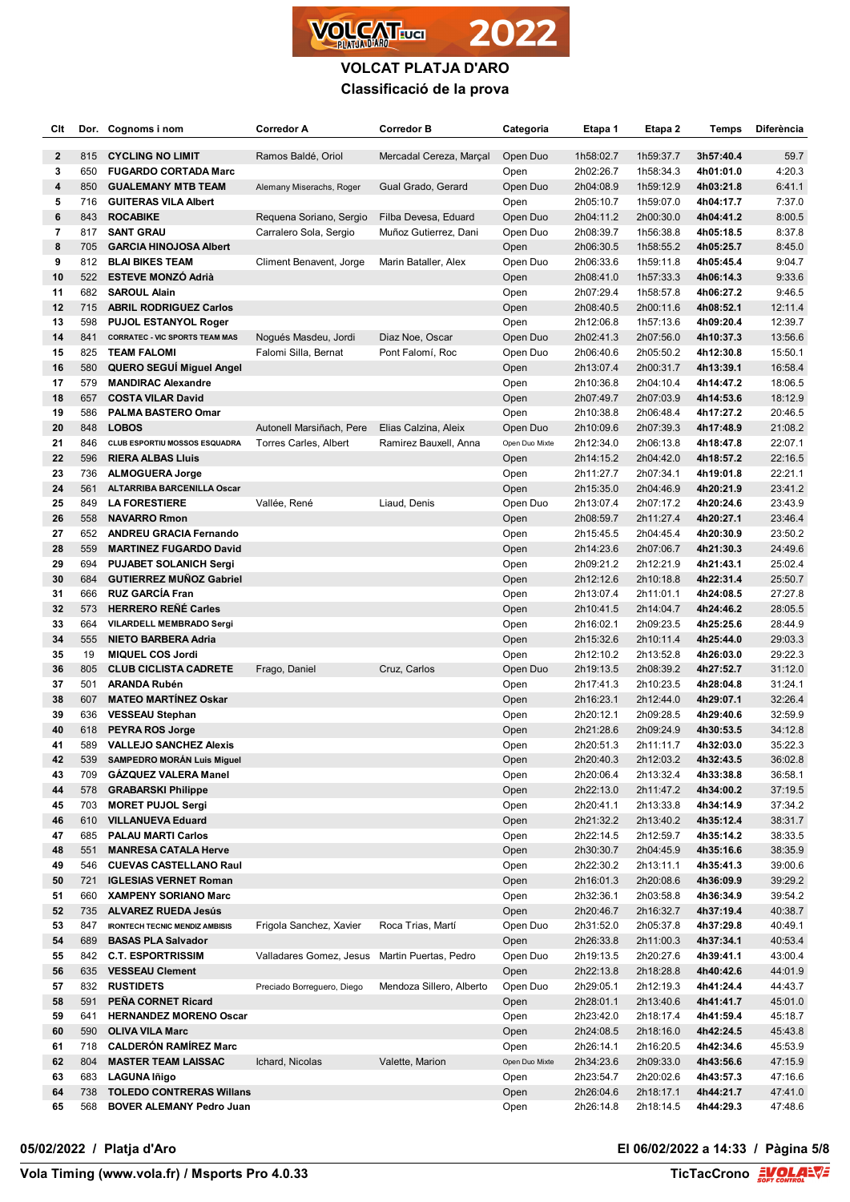

| Clt            |            | Dor. Cognoms i nom                                             | Corredor A                                    | <b>Corredor B</b>        | Categoria        | Etapa 1                | Etapa 2                | Temps                  | <b>Diferència</b>  |
|----------------|------------|----------------------------------------------------------------|-----------------------------------------------|--------------------------|------------------|------------------------|------------------------|------------------------|--------------------|
| $\mathbf{2}$   | 815        | <b>CYCLING NO LIMIT</b>                                        | Ramos Baldé, Oriol                            | Mercadal Cereza, Marçal  | Open Duo         | 1h58:02.7              | 1h59:37.7              | 3h57:40.4              | 59.7               |
| 3              | 650        | <b>FUGARDO CORTADA Marc</b>                                    |                                               |                          | Open             | 2h02:26.7              | 1h58:34.3              | 4h01:01.0              | 4:20.3             |
| 4              | 850        | <b>GUALEMANY MTB TEAM</b>                                      | Alemany Miserachs, Roger                      | Gual Grado, Gerard       | Open Duo         | 2h04:08.9              | 1h59:12.9              | 4h03:21.8              | 6:41.1             |
| 5              | 716        | <b>GUITERAS VILA Albert</b>                                    |                                               |                          | Open             | 2h05:10.7              | 1h59:07.0              | 4h04:17.7              | 7:37.0             |
| 6              | 843        | <b>ROCABIKE</b>                                                | Requena Soriano, Sergio                       | Filba Devesa, Eduard     | Open Duo         | 2h04:11.2              | 2h00:30.0              | 4h04:41.2              | 8:00.5             |
| $\overline{7}$ | 817        | <b>SANT GRAU</b>                                               | Carralero Sola, Sergio                        | Muñoz Gutierrez, Dani    | Open Duo         | 2h08:39.7              | 1h56:38.8              | 4h05:18.5              | 8:37.8             |
| 8              | 705        | <b>GARCIA HINOJOSA Albert</b>                                  |                                               |                          | Open             | 2h06:30.5              | 1h58:55.2              | 4h05:25.7              | 8:45.0             |
| 9              | 812        | <b>BLAI BIKES TEAM</b>                                         | Climent Benavent, Jorge                       | Marin Bataller, Alex     | Open Duo         | 2h06:33.6              | 1h59:11.8              | 4h05:45.4              | 9:04.7             |
| 10             | 522        | <b>ESTEVE MONZO Adrià</b>                                      |                                               |                          | Open             | 2h08:41.0              | 1h57:33.3              | 4h06:14.3              | 9:33.6             |
| 11             | 682        | <b>SAROUL Alain</b>                                            |                                               |                          | Open             | 2h07:29.4              | 1h58:57.8              | 4h06:27.2              | 9:46.5             |
| 12             | 715        | <b>ABRIL RODRIGUEZ Carlos</b>                                  |                                               |                          | Open             | 2h08:40.5              | 2h00:11.6              | 4h08:52.1              | 12:11.4            |
| 13             | 598        | <b>PUJOL ESTANYOL Roger</b>                                    |                                               |                          | Open             | 2h12:06.8              | 1h57:13.6              | 4h09:20.4              | 12:39.7            |
| 14             | 841        | <b>CORRATEC - VIC SPORTS TEAM MAS</b>                          | Nogués Masdeu, Jordi                          | Diaz Noe, Oscar          | Open Duo         | 2h02:41.3              | 2h07:56.0              | 4h10:37.3              | 13:56.6            |
| 15             | 825        | <b>TEAM FALOMI</b>                                             | Falomi Silla, Bernat                          | Pont Falomí, Roc         | Open Duo         | 2h06:40.6              | 2h05:50.2              | 4h12:30.8              | 15:50.1            |
| 16             | 580        | QUERO SEGUI Miguel Angel                                       |                                               |                          | Open             | 2h13:07.4              | 2h00:31.7              | 4h13:39.1              | 16:58.4            |
| 17             | 579        | <b>MANDIRAC Alexandre</b>                                      |                                               |                          | Open             | 2h10:36.8              | 2h04:10.4              | 4h14:47.2              | 18:06.5            |
| 18             | 657        | <b>COSTA VILAR David</b>                                       |                                               |                          | Open             | 2h07:49.7              | 2h07:03.9              | 4h14:53.6              | 18:12.9            |
| 19             | 586        | <b>PALMA BASTERO Omar</b>                                      |                                               |                          | Open             | 2h10:38.8              | 2h06:48.4              | 4h17:27.2              | 20:46.5            |
| 20             | 848        | <b>LOBOS</b>                                                   | Autonell Marsiñach, Pere                      | Elias Calzina, Aleix     | Open Duo         | 2h10:09.6              | 2h07:39.3              | 4h17:48.9              | 21:08.2            |
| 21             | 846        | CLUB ESPORTIU MOSSOS ESQUADRA                                  | Torres Carles, Albert                         | Ramirez Bauxell, Anna    | Open Duo Mixte   | 2h12:34.0              | 2h06:13.8              | 4h18:47.8              | 22:07.1            |
| 22             | 596        | <b>RIERA ALBAS Lluis</b>                                       |                                               |                          | Open             | 2h14:15.2              | 2h04:42.0              | 4h18:57.2              | 22:16.5            |
| 23             | 736        | <b>ALMOGUERA Jorge</b>                                         |                                               |                          | Open             | 2h11:27.7              | 2h07:34.1              | 4h19:01.8              | 22:21.1            |
| 24             | 561        | ALTARRIBA BARCENILLA Oscar<br><b>LA FORESTIERE</b>             |                                               |                          | Open             | 2h15:35.0              | 2h04:46.9              | 4h20:21.9              | 23:41.2            |
| 25             | 849        |                                                                | Vallée, René                                  | Liaud, Denis             | Open Duo         | 2h13:07.4              | 2h07:17.2              | 4h20:24.6              | 23:43.9            |
| 26<br>27       | 558<br>652 | <b>NAVARRO Rmon</b>                                            |                                               |                          | Open             | 2h08:59.7              | 2h11:27.4              | 4h20:27.1<br>4h20:30.9 | 23:46.4<br>23:50.2 |
| 28             | 559        | <b>ANDREU GRACIA Fernando</b><br><b>MARTINEZ FUGARDO David</b> |                                               |                          | Open             | 2h15:45.5<br>2h14:23.6 | 2h04:45.4<br>2h07:06.7 | 4h21:30.3              | 24:49.6            |
| 29             | 694        | <b>PUJABET SOLANICH Sergi</b>                                  |                                               |                          | Open<br>Open     | 2h09:21.2              | 2h12:21.9              | 4h21:43.1              | 25:02.4            |
| 30             | 684        | <b>GUTIERREZ MUÑOZ Gabriel</b>                                 |                                               |                          | Open             | 2h12:12.6              | 2h10:18.8              | 4h22:31.4              | 25:50.7            |
| 31             | 666        | <b>RUZ GARCÍA Fran</b>                                         |                                               |                          | Open             | 2h13:07.4              | 2h11:01.1              | 4h24:08.5              | 27:27.8            |
| 32             | 573        | <b>HERRERO REÑÉ Carles</b>                                     |                                               |                          | Open             | 2h10:41.5              | 2h14:04.7              | 4h24:46.2              | 28:05.5            |
| 33             | 664        | VILARDELL MEMBRADO Sergi                                       |                                               |                          | Open             | 2h16:02.1              | 2h09:23.5              | 4h25:25.6              | 28:44.9            |
| 34             | 555        | <b>NIETO BARBERA Adria</b>                                     |                                               |                          | Open             | 2h15:32.6              | 2h10:11.4              | 4h25:44.0              | 29:03.3            |
| 35             | 19         | <b>MIQUEL COS Jordi</b>                                        |                                               |                          | Open             | 2h12:10.2              | 2h13:52.8              | 4h26:03.0              | 29:22.3            |
| 36             | 805        | <b>CLUB CICLISTA CADRETE</b>                                   | Frago, Daniel                                 | Cruz, Carlos             | Open Duo         | 2h19:13.5              | 2h08:39.2              | 4h27:52.7              | 31:12.0            |
| 37             | 501        | <b>ARANDA Rubén</b>                                            |                                               |                          | Open             | 2h17:41.3              | 2h10:23.5              | 4h28:04.8              | 31:24.1            |
| 38             | 607        | <b>MATEO MARTINEZ Oskar</b>                                    |                                               |                          | Open             | 2h16:23.1              | 2h12:44.0              | 4h29:07.1              | 32:26.4            |
| 39             | 636        | <b>VESSEAU Stephan</b>                                         |                                               |                          | Open             | 2h20:12.1              | 2h09:28.5              | 4h29:40.6              | 32:59.9            |
| 40             | 618        | <b>PEYRA ROS Jorge</b>                                         |                                               |                          | Open             | 2h21:28.6              | 2h09:24.9              | 4h30:53.5              | 34:12.8            |
| 41             | 589        | <b>VALLEJO SANCHEZ Alexis</b>                                  |                                               |                          | Open             | 2h20:51.3              | 2h11:11.7              | 4h32:03.0              | 35:22.3            |
| 42             | 539        | SAMPEDRO MORÁN Luis Miguel                                     |                                               |                          | Open             | 2h20:40.3              | 2h12:03.2              | 4h32:43.5              | 36:02.8            |
| 43             | 709        | <b>GAZQUEZ VALERA Manel</b>                                    |                                               |                          | Open             | 2h20:06.4              | 2h13:32.4              | 4h33:38.8              | 36:58.1            |
| 44             | 578        | <b>GRABARSKI Philippe</b>                                      |                                               |                          | Open             | 2h22:13.0              | 2h11:47.2              | 4h34:00.2              | 37:19.5            |
| 45             | 703        | <b>MORET PUJOL Sergi</b>                                       |                                               |                          | Open             | 2h20:41.1              | 2h13:33.8              | 4h34:14.9              | 37:34.2            |
| 46             | 610        | <b>VILLANUEVA Eduard</b>                                       |                                               |                          | Open             | 2h21:32.2              | 2h13:40.2              | 4h35:12.4              | 38:31.7            |
| 47             | 685        | <b>PALAU MARTI Carlos</b>                                      |                                               |                          | Open             | 2h22:14.5              | 2h12:59.7              | 4h35:14.2              | 38:33.5            |
| 48             | 551        | <b>MANRESA CATALA Herve</b>                                    |                                               |                          | Open             | 2h30:30.7              | 2h04:45.9              | 4h35:16.6              | 38:35.9            |
| 49             | 546        | <b>CUEVAS CASTELLANO Raul</b>                                  |                                               |                          | Open             | 2h22:30.2              | 2h13:11.1              | 4h35:41.3              | 39:00.6            |
| 50             | 721        | <b>IGLESIAS VERNET Roman</b>                                   |                                               |                          | Open             | 2h16:01.3              | 2h20:08.6              | 4h36:09.9              | 39:29.2            |
| 51             | 660        | <b>XAMPENY SORIANO Marc</b>                                    |                                               |                          | Open             | 2h32:36.1              | 2h03:58.8              | 4h36:34.9              | 39:54.2            |
| 52             | 735        | <b>ALVAREZ RUEDA Jesús</b>                                     |                                               |                          | Open             | 2h20:46.7              | 2h16:32.7              | 4h37:19.4              | 40:38.7            |
| 53             | 847        | <b>IRONTECH TECNIC MENDIZ AMBISIS</b>                          | Frigola Sanchez, Xavier                       | Roca Trias, Martí        | Open Duo         | 2h31:52.0              | 2h05:37.8              | 4h37:29.8              | 40:49.1            |
| 54             | 689<br>842 | <b>BASAS PLA Salvador</b><br><b>C.T. ESPORTRISSIM</b>          | Valladares Gomez, Jesus Martin Puertas, Pedro |                          | Open<br>Open Duo | 2h26:33.8              | 2h11:00.3              | 4h37:34.1              | 40:53.4<br>43:00.4 |
| 55<br>56       | 635        | <b>VESSEAU Clement</b>                                         |                                               |                          |                  | 2h19:13.5              | 2h20:27.6              | 4h39:41.1              |                    |
| 57             | 832        | <b>RUSTIDETS</b>                                               | Preciado Borreguero, Diego                    | Mendoza Sillero, Alberto | Open<br>Open Duo | 2h22:13.8<br>2h29:05.1 | 2h18:28.8<br>2h12:19.3 | 4h40:42.6<br>4h41:24.4 | 44:01.9<br>44:43.7 |
| 58             | 591        | PEÑA CORNET Ricard                                             |                                               |                          | Open             | 2h28:01.1              | 2h13:40.6              | 4h41:41.7              | 45:01.0            |
| 59             | 641        | <b>HERNANDEZ MORENO Oscar</b>                                  |                                               |                          | Open             | 2h23:42.0              | 2h18:17.4              | 4h41:59.4              | 45:18.7            |
| 60             | 590        | <b>OLIVA VILA Marc</b>                                         |                                               |                          | Open             | 2h24:08.5              | 2h18:16.0              | 4h42:24.5              | 45:43.8            |
| 61             | 718        | <b>CALDERÓN RAMÍREZ Marc</b>                                   |                                               |                          | Open             | 2h26:14.1              | 2h16:20.5              | 4h42:34.6              | 45:53.9            |
| 62             | 804        | <b>MASTER TEAM LAISSAC</b>                                     | Ichard, Nicolas                               | Valette, Marion          | Open Duo Mixte   | 2h34:23.6              | 2h09:33.0              | 4h43:56.6              | 47:15.9            |
| 63             | 683        | <b>LAGUNA Iñigo</b>                                            |                                               |                          | Open             | 2h23:54.7              | 2h20:02.6              | 4h43:57.3              | 47:16.6            |
| 64             | 738        | <b>TOLEDO CONTRERAS Willans</b>                                |                                               |                          | Open             | 2h26:04.6              | 2h18:17.1              | 4h44:21.7              | 47:41.0            |
| 65             | 568        | <b>BOVER ALEMANY Pedro Juan</b>                                |                                               |                          | Open             | 2h26:14.8              | 2h18:14.5              | 4h44:29.3              | 47:48.6            |
|                |            |                                                                |                                               |                          |                  |                        |                        |                        |                    |

**05/02/2022 / Platja d'Aro El 06/02/2022 a 14:33 / Pàgina 5/8**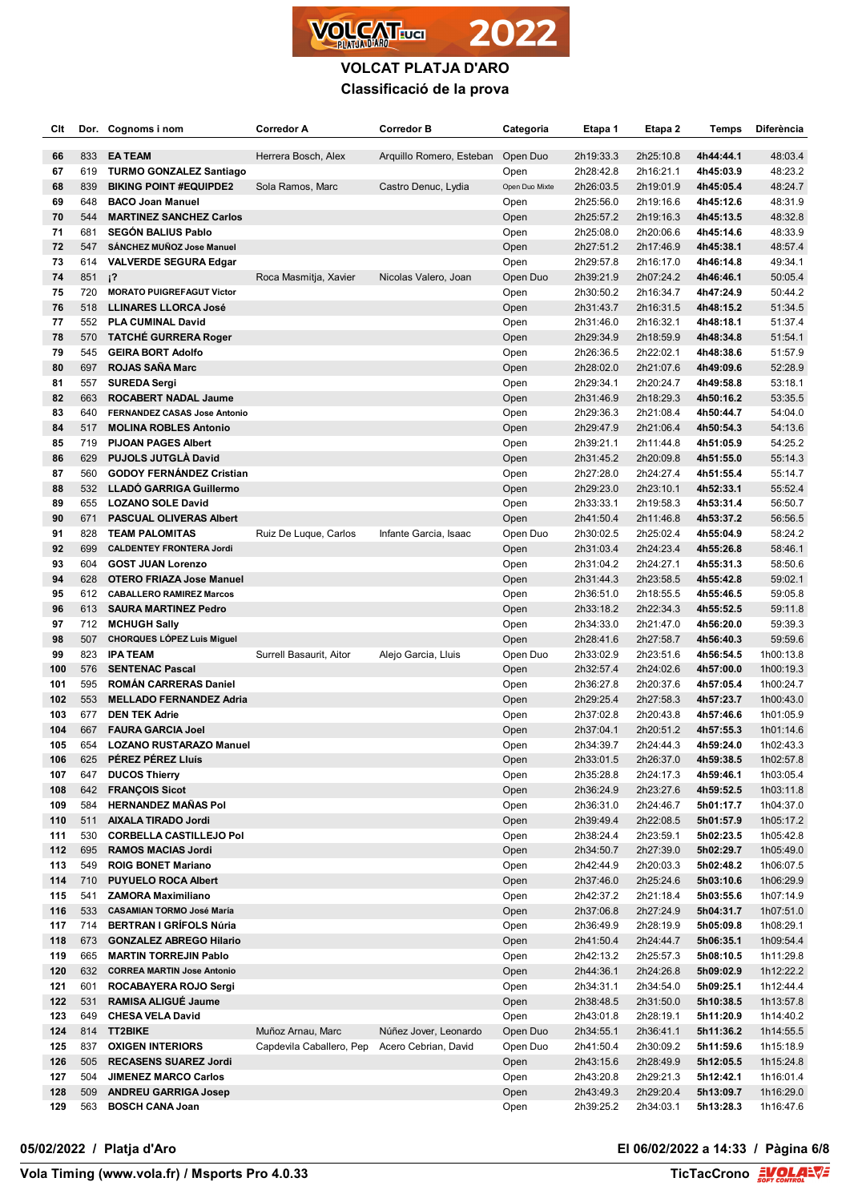

| Clt        | Dor.       | Cognoms i nom                                            | <b>Corredor A</b>        | <b>Corredor B</b>        | Categoria        | Etapa 1                | Etapa 2                | Temps                  | Diferència             |
|------------|------------|----------------------------------------------------------|--------------------------|--------------------------|------------------|------------------------|------------------------|------------------------|------------------------|
|            | 833        | <b>EATEAM</b>                                            |                          | Arquillo Romero, Esteban | Open Duo         | 2h19:33.3              |                        | 4h44:44.1              | 48:03.4                |
| 66<br>67   | 619        | <b>TURMO GONZALEZ Santiago</b>                           | Herrera Bosch, Alex      |                          | Open             | 2h28:42.8              | 2h25:10.8<br>2h16:21.1 | 4h45:03.9              | 48:23.2                |
| 68         | 839        | <b>BIKING POINT #EQUIPDE2</b>                            | Sola Ramos, Marc         | Castro Denuc, Lydia      | Open Duo Mixte   | 2h26:03.5              | 2h19:01.9              | 4h45:05.4              | 48:24.7                |
| 69         | 648        | <b>BACO Joan Manuel</b>                                  |                          |                          | Open             | 2h25:56.0              | 2h19:16.6              | 4h45:12.6              | 48:31.9                |
| 70         | 544        | <b>MARTINEZ SANCHEZ Carlos</b>                           |                          |                          | Open             | 2h25:57.2              | 2h19:16.3              | 4h45:13.5              | 48:32.8                |
| 71         | 681        | <b>SEGÓN BALIUS Pablo</b>                                |                          |                          | Open             | 2h25:08.0              | 2h20:06.6              | 4h45:14.6              | 48:33.9                |
| 72         | 547        | SÁNCHEZ MUÑOZ Jose Manuel                                |                          |                          | Open             | 2h27:51.2              | 2h17:46.9              | 4h45:38.1              | 48:57.4                |
| 73         | 614        | <b>VALVERDE SEGURA Edgar</b>                             |                          |                          | Open             | 2h29:57.8              | 2h16:17.0              | 4h46:14.8              | 49:34.1                |
| 74         | 851        | $i^2$                                                    | Roca Masmitja, Xavier    | Nicolas Valero, Joan     | Open Duo         | 2h39:21.9              | 2h07:24.2              | 4h46:46.1              | 50:05.4                |
| 75         | 720        | <b>MORATO PUIGREFAGUT Victor</b>                         |                          |                          | Open             | 2h30:50.2              | 2h16:34.7              | 4h47:24.9              | 50:44.2                |
| 76         | 518        | LLINARES LLORCA José                                     |                          |                          | Open             | 2h31:43.7              | 2h16:31.5              | 4h48:15.2              | 51:34.5                |
| 77         | 552        | <b>PLA CUMINAL David</b>                                 |                          |                          | Open             | 2h31:46.0              | 2h16:32.1              | 4h48:18.1              | 51:37.4                |
| 78         | 570        | <b>TATCHE GURRERA Roger</b>                              |                          |                          | Open             | 2h29:34.9              | 2h18:59.9              | 4h48:34.8              | 51:54.1                |
| 79         | 545        | <b>GEIRA BORT Adolfo</b>                                 |                          |                          | Open             | 2h26:36.5              | 2h22:02.1              | 4h48:38.6              | 51:57.9                |
| 80         | 697        | <b>ROJAS SAÑA Marc</b>                                   |                          |                          | Open             | 2h28:02.0              | 2h21:07.6              | 4h49:09.6              | 52:28.9                |
| 81         | 557        | <b>SUREDA Sergi</b>                                      |                          |                          | Open             | 2h29:34.1              | 2h20:24.7              | 4h49:58.8              | 53:18.1                |
| 82         | 663        | <b>ROCABERT NADAL Jaume</b>                              |                          |                          | Open             | 2h31:46.9              | 2h18:29.3              | 4h50:16.2              | 53:35.5                |
| 83         | 640        | <b>FERNANDEZ CASAS Jose Antonio</b>                      |                          |                          | Open             | 2h29:36.3              | 2h21:08.4              | 4h50:44.7              | 54:04.0                |
| 84         | 517        | <b>MOLINA ROBLES Antonio</b>                             |                          |                          | Open             | 2h29:47.9              | 2h21:06.4              | 4h50:54.3              | 54:13.6                |
| 85         | 719        | <b>PIJOAN PAGES Albert</b><br><b>PUJOLS JUTGLA David</b> |                          |                          | Open             | 2h39:21.1              | 2h11:44.8              | 4h51:05.9              | 54:25.2                |
| 86<br>87   | 629<br>560 | <b>GODOY FERNÁNDEZ Cristian</b>                          |                          |                          | Open             | 2h31:45.2              | 2h20:09.8              | 4h51:55.0              | 55:14.3                |
| 88         | 532        | <b>LLADO GARRIGA Guillermo</b>                           |                          |                          | Open<br>Open     | 2h27:28.0<br>2h29:23.0 | 2h24:27.4<br>2h23:10.1 | 4h51:55.4<br>4h52:33.1 | 55:14.7<br>55:52.4     |
| 89         | 655        | <b>LOZANO SOLE David</b>                                 |                          |                          | Open             | 2h33:33.1              | 2h19:58.3              | 4h53:31.4              | 56:50.7                |
| 90         | 671        | <b>PASCUAL OLIVERAS Albert</b>                           |                          |                          | Open             | 2h41:50.4              | 2h11:46.8              | 4h53:37.2              | 56:56.5                |
| 91         | 828        | <b>TEAM PALOMITAS</b>                                    | Ruiz De Luque, Carlos    | Infante Garcia, Isaac    | Open Duo         | 2h30:02.5              | 2h25:02.4              | 4h55:04.9              | 58:24.2                |
| 92         | 699        | <b>CALDENTEY FRONTERA Jordi</b>                          |                          |                          | Open             | 2h31:03.4              | 2h24:23.4              | 4h55:26.8              | 58:46.1                |
| 93         | 604        | <b>GOST JUAN Lorenzo</b>                                 |                          |                          | Open             | 2h31:04.2              | 2h24:27.1              | 4h55:31.3              | 58:50.6                |
| 94         | 628        | <b>OTERO FRIAZA Jose Manuel</b>                          |                          |                          | Open             | 2h31:44.3              | 2h23:58.5              | 4h55:42.8              | 59:02.1                |
| 95         | 612        | <b>CABALLERO RAMIREZ Marcos</b>                          |                          |                          | Open             | 2h36:51.0              | 2h18:55.5              | 4h55:46.5              | 59:05.8                |
| 96         | 613        | <b>SAURA MARTINEZ Pedro</b>                              |                          |                          | Open             | 2h33:18.2              | 2h22:34.3              | 4h55:52.5              | 59:11.8                |
| 97         | 712        | <b>MCHUGH Sally</b>                                      |                          |                          | Open             | 2h34:33.0              | 2h21:47.0              | 4h56:20.0              | 59:39.3                |
| 98         | 507        | <b>CHORQUES LÓPEZ Luis Miguel</b>                        |                          |                          | Open             | 2h28:41.6              | 2h27:58.7              | 4h56:40.3              | 59:59.6                |
| 99         | 823        | <b>IPA TEAM</b>                                          | Surrell Basaurit, Aitor  | Alejo Garcia, Lluis      | Open Duo         | 2h33:02.9              | 2h23:51.6              | 4h56:54.5              | 1h00:13.8              |
| 100        | 576        | <b>SENTENAC Pascal</b>                                   |                          |                          | Open             | 2h32:57.4              | 2h24:02.6              | 4h57:00.0              | 1h00:19.3              |
| 101        | 595        | <b>ROMAN CARRERAS Daniel</b>                             |                          |                          | Open             | 2h36:27.8              | 2h20:37.6              | 4h57:05.4              | 1h00:24.7              |
| 102        | 553        | <b>MELLADO FERNANDEZ Adria</b>                           |                          |                          | Open             | 2h29:25.4              | 2h27:58.3              | 4h57:23.7              | 1h00:43.0              |
| 103        | 677        | <b>DEN TEK Adrie</b>                                     |                          |                          | Open             | 2h37:02.8              | 2h20:43.8              | 4h57:46.6              | 1h01:05.9              |
| 104        | 667        | <b>FAURA GARCIA Joel</b>                                 |                          |                          | Open             | 2h37:04.1              | 2h20:51.2              | 4h57:55.3              | 1h01:14.6              |
| 105<br>106 | 654<br>625 | <b>LOZANO RUSTARAZO Manuel</b><br>PÉREZ PÉREZ Lluís      |                          |                          | Open             | 2h34:39.7              | 2h24:44.3<br>2h26:37.0 | 4h59:24.0              | 1h02:43.3<br>1h02:57.8 |
| 107        | 647        | <b>DUCOS Thierry</b>                                     |                          |                          | Open<br>Open     | 2h33:01.5<br>2h35:28.8 | 2h24:17.3              | 4h59:38.5<br>4h59:46.1 | 1h03:05.4              |
| 108        | 642        | <b>FRANÇOIS Sicot</b>                                    |                          |                          | Open             | 2h36:24.9              | 2h23:27.6              | 4h59:52.5              | 1h03:11.8              |
| 109        | 584        | <b>HERNANDEZ MAÑAS Pol</b>                               |                          |                          | Open             | 2h36:31.0              | 2h24:46.7              | 5h01:17.7              | 1h04:37.0              |
| 110        | 511        | <b>AIXALA TIRADO Jordi</b>                               |                          |                          | Open             | 2h39:49.4              | 2h22:08.5              | 5h01:57.9              | 1h05:17.2              |
| 111        | 530        | <b>CORBELLA CASTILLEJO Pol</b>                           |                          |                          | Open             | 2h38:24.4              | 2h23:59.1              | 5h02:23.5              | 1h05:42.8              |
| 112        | 695        | <b>RAMOS MACIAS Jordi</b>                                |                          |                          | Open             | 2h34:50.7              | 2h27:39.0              | 5h02:29.7              | 1h05:49.0              |
| 113        | 549        | <b>ROIG BONET Mariano</b>                                |                          |                          | Open             | 2h42:44.9              | 2h20:03.3              | 5h02:48.2              | 1h06:07.5              |
| 114        | 710        | <b>PUYUELO ROCA Albert</b>                               |                          |                          | Open             | 2h37:46.0              | 2h25:24.6              | 5h03:10.6              | 1h06:29.9              |
| 115        | 541        | <b>ZAMORA Maximiliano</b>                                |                          |                          | Open             | 2h42:37.2              | 2h21:18.4              | 5h03:55.6              | 1h07:14.9              |
| 116        | 533        | <b>CASAMIAN TORMO José María</b>                         |                          |                          | Open             | 2h37:06.8              | 2h27:24.9              | 5h04:31.7              | 1h07:51.0              |
| 117        | 714        | <b>BERTRAN I GRÍFOLS Núria</b>                           |                          |                          | Open             | 2h36:49.9              | 2h28:19.9              | 5h05:09.8              | 1h08:29.1              |
| 118        | 673        | <b>GONZALEZ ABREGO Hilario</b>                           |                          |                          | Open             | 2h41:50.4              | 2h24:44.7              | 5h06:35.1              | 1h09:54.4              |
| 119        | 665        | <b>MARTIN TORREJIN Pablo</b>                             |                          |                          | Open             | 2h42:13.2              | 2h25:57.3              | 5h08:10.5              | 1h11:29.8              |
| 120        | 632        | <b>CORREA MARTIN Jose Antonio</b>                        |                          |                          | Open             | 2h44:36.1              | 2h24:26.8              | 5h09:02.9              | 1h12:22.2              |
| 121        | 601        | ROCABAYERA ROJO Sergi                                    |                          |                          | Open             | 2h34:31.1              | 2h34:54.0              | 5h09:25.1              | 1h12:44.4              |
| 122        | 531        | RAMISA ALIGUÉ Jaume                                      |                          |                          | Open             | 2h38:48.5              | 2h31:50.0              | 5h10:38.5              | 1h13:57.8              |
| 123<br>124 | 649<br>814 | <b>CHESA VELA David</b><br><b>TT2BIKE</b>                | Muñoz Arnau, Marc        | Núñez Jover, Leonardo    | Open<br>Open Duo | 2h43:01.8              | 2h28:19.1              | 5h11:20.9              | 1h14:40.2              |
| 125        | 837        | <b>OXIGEN INTERIORS</b>                                  | Capdevila Caballero, Pep | Acero Cebrian, David     | Open Duo         | 2h34:55.1<br>2h41:50.4 | 2h36:41.1<br>2h30:09.2 | 5h11:36.2<br>5h11:59.6 | 1h14:55.5<br>1h15:18.9 |
| 126        | 505        | <b>RECASENS SUAREZ Jordi</b>                             |                          |                          | Open             | 2h43:15.6              | 2h28:49.9              | 5h12:05.5              | 1h15:24.8              |
| 127        | 504        | <b>JIMENEZ MARCO Carlos</b>                              |                          |                          | Open             | 2h43:20.8              | 2h29:21.3              | 5h12:42.1              | 1h16:01.4              |
| 128        | 509        | <b>ANDREU GARRIGA Josep</b>                              |                          |                          | Open             | 2h43:49.3              | 2h29:20.4              | 5h13:09.7              | 1h16:29.0              |
| 129        | 563        | <b>BOSCH CANA Joan</b>                                   |                          |                          | Open             | 2h39:25.2              | 2h34:03.1              | 5h13:28.3              | 1h16:47.6              |
|            |            |                                                          |                          |                          |                  |                        |                        |                        |                        |

## **05/02/2022 / Platja d'Aro El 06/02/2022 a 14:33 / Pàgina 6/8**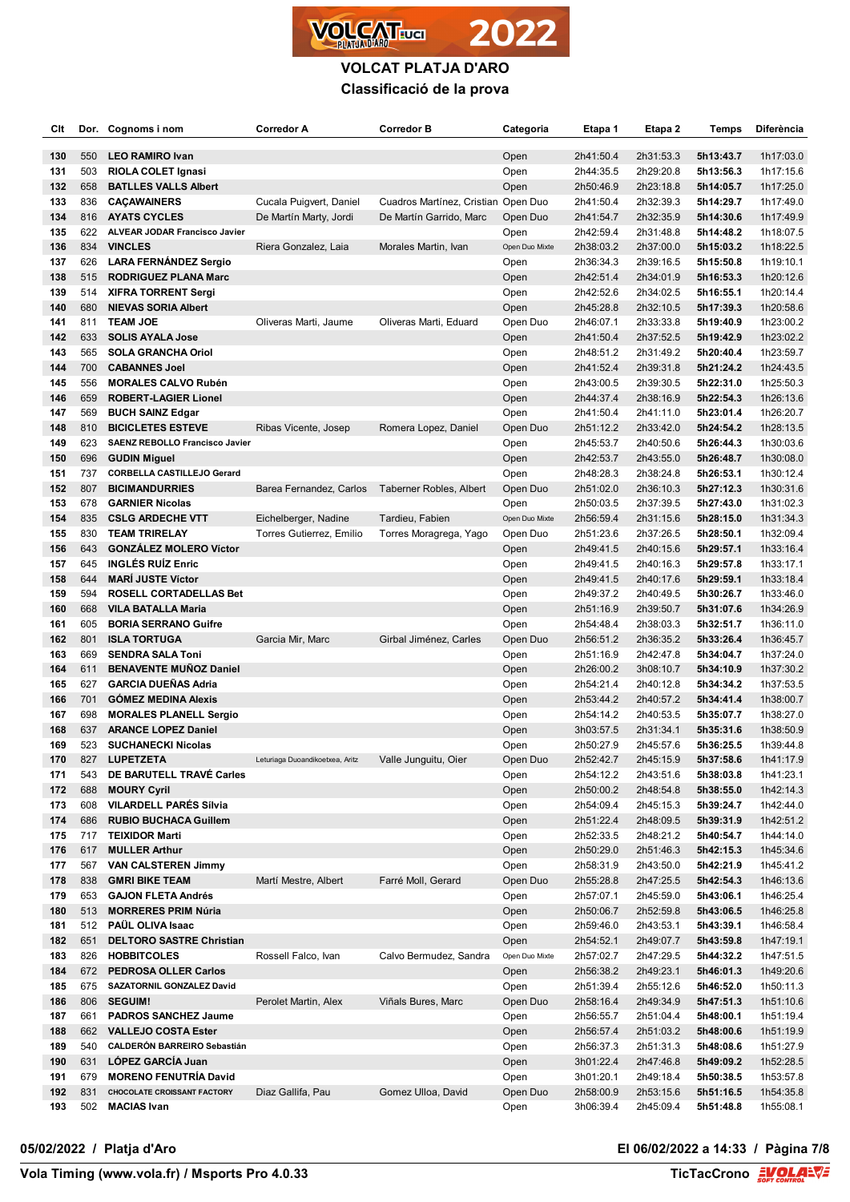

| Clt        |            | Dor. Cognoms i nom                                       | <b>Corredor A</b>               | <b>Corredor B</b>                   | Categoria              | Etapa 1                | Etapa 2                | Temps                  | Diferència             |
|------------|------------|----------------------------------------------------------|---------------------------------|-------------------------------------|------------------------|------------------------|------------------------|------------------------|------------------------|
| 130        | 550        | <b>LEO RAMIRO Ivan</b>                                   |                                 |                                     | Open                   | 2h41:50.4              | 2h31:53.3              | 5h13:43.7              | 1h17:03.0              |
| 131        | 503        | <b>RIOLA COLET Ignasi</b>                                |                                 |                                     | Open                   | 2h44:35.5              | 2h29:20.8              | 5h13:56.3              | 1h17:15.6              |
| 132        | 658        | <b>BATLLES VALLS Albert</b>                              |                                 |                                     | Open                   | 2h50:46.9              | 2h23:18.8              | 5h14:05.7              | 1h17:25.0              |
| 133        | 836        | <b>CAÇAWAINERS</b>                                       | Cucala Puigvert, Daniel         | Cuadros Martínez, Cristian Open Duo |                        | 2h41:50.4              | 2h32:39.3              | 5h14:29.7              | 1h17:49.0              |
| 134        | 816        | <b>AYATS CYCLES</b>                                      | De Martín Marty, Jordi          | De Martín Garrido, Marc             | Open Duo               | 2h41:54.7              | 2h32:35.9              | 5h14:30.6              | 1h17:49.9              |
| 135        | 622        | ALVEAR JODAR Francisco Javier                            |                                 |                                     | Open                   | 2h42:59.4              | 2h31:48.8              | 5h14:48.2              | 1h18:07.5              |
| 136        | 834        | <b>VINCLES</b>                                           | Riera Gonzalez, Laia            | Morales Martin, Ivan                | Open Duo Mixte         | 2h38:03.2              | 2h37:00.0              | 5h15:03.2              | 1h18:22.5              |
| 137        | 626        | <b>LARA FERNÁNDEZ Sergio</b>                             |                                 |                                     | Open                   | 2h36:34.3              | 2h39:16.5              | 5h15:50.8              | 1h19:10.1              |
| 138        | 515        | <b>RODRIGUEZ PLANA Marc</b>                              |                                 |                                     | Open                   | 2h42:51.4              | 2h34:01.9              | 5h16:53.3              | 1h20:12.6              |
| 139        | 514        | <b>XIFRA TORRENT Sergi</b>                               |                                 |                                     | Open                   | 2h42:52.6              | 2h34:02.5              | 5h16:55.1              | 1h20:14.4              |
| 140        | 680        | <b>NIEVAS SORIA Albert</b>                               |                                 |                                     | Open                   | 2h45:28.8              | 2h32:10.5              | 5h17:39.3              | 1h20:58.6              |
| 141        | 811        | <b>TEAM JOE</b>                                          | Oliveras Marti, Jaume           | Oliveras Marti, Eduard              | Open Duo               | 2h46:07.1              | 2h33:33.8              | 5h19:40.9              | 1h23:00.2              |
| 142        | 633        | <b>SOLIS AYALA Jose</b>                                  |                                 |                                     | Open                   | 2h41:50.4              | 2h37:52.5              | 5h19:42.9              | 1h23:02.2              |
| 143        | 565        | <b>SOLA GRANCHA Oriol</b>                                |                                 |                                     | Open                   | 2h48:51.2              | 2h31:49.2              | 5h20:40.4              | 1h23:59.7              |
| 144        | 700        | <b>CABANNES Joel</b>                                     |                                 |                                     | Open                   | 2h41:52.4              | 2h39:31.8              | 5h21:24.2              | 1h24:43.5              |
| 145        | 556        | <b>MORALES CALVO Rubén</b>                               |                                 |                                     | Open                   | 2h43:00.5              | 2h39:30.5              | 5h22:31.0              | 1h25:50.3              |
| 146        | 659        | <b>ROBERT-LAGIER Lionel</b>                              |                                 |                                     | Open                   | 2h44:37.4              | 2h38:16.9              | 5h22:54.3              | 1h26:13.6              |
| 147        | 569        | <b>BUCH SAINZ Edgar</b>                                  |                                 |                                     | Open                   | 2h41:50.4              | 2h41:11.0              | 5h23:01.4              | 1h26:20.7              |
| 148        | 810        | <b>BICICLETES ESTEVE</b>                                 | Ribas Vicente, Josep            | Romera Lopez, Daniel                | Open Duo               | 2h51:12.2              | 2h33:42.0              | 5h24:54.2              | 1h28:13.5              |
| 149        | 623        | SAENZ REBOLLO Francisco Javier                           |                                 |                                     | Open                   | 2h45:53.7              | 2h40:50.6              | 5h26:44.3              | 1h30:03.6<br>1h30:08.0 |
| 150<br>151 | 696<br>737 | <b>GUDIN Miguel</b><br><b>CORBELLA CASTILLEJO Gerard</b> |                                 |                                     | Open<br>Open           | 2h42:53.7<br>2h48:28.3 | 2h43:55.0<br>2h38:24.8 | 5h26:48.7<br>5h26:53.1 | 1h30:12.4              |
| 152        | 807        | <b>BICIMANDURRIES</b>                                    | Barea Fernandez, Carlos         | Taberner Robles, Albert             | Open Duo               | 2h51:02.0              | 2h36:10.3              | 5h27:12.3              | 1h30:31.6              |
| 153        | 678        | <b>GARNIER Nicolas</b>                                   |                                 |                                     | Open                   | 2h50:03.5              | 2h37:39.5              | 5h27:43.0              | 1h31:02.3              |
| 154        | 835        | <b>CSLG ARDECHE VTT</b>                                  | Eichelberger, Nadine            | Tardieu, Fabien                     | Open Duo Mixte         | 2h56:59.4              | 2h31:15.6              | 5h28:15.0              | 1h31:34.3              |
| 155        | 830        | <b>TEAM TRIRELAY</b>                                     | Torres Gutierrez, Emilio        | Torres Moragrega, Yago              | Open Duo               | 2h51:23.6              | 2h37:26.5              | 5h28:50.1              | 1h32:09.4              |
| 156        | 643        | <b>GONZALEZ MOLERO Víctor</b>                            |                                 |                                     | Open                   | 2h49:41.5              | 2h40:15.6              | 5h29:57.1              | 1h33:16.4              |
| 157        | 645        | <b>INGLÉS RUIZ Enric</b>                                 |                                 |                                     | Open                   | 2h49:41.5              | 2h40:16.3              | 5h29:57.8              | 1h33:17.1              |
| 158        | 644        | <b>MARI JUSTE Víctor</b>                                 |                                 |                                     | Open                   | 2h49:41.5              | 2h40:17.6              | 5h29:59.1              | 1h33:18.4              |
| 159        | 594        | <b>ROSELL CORTADELLAS Bet</b>                            |                                 |                                     | Open                   | 2h49:37.2              | 2h40:49.5              | 5h30:26.7              | 1h33:46.0              |
| 160        | 668        | <b>VILA BATALLA Maria</b>                                |                                 |                                     | Open                   | 2h51:16.9              | 2h39:50.7              | 5h31:07.6              | 1h34:26.9              |
| 161        | 605        | <b>BORIA SERRANO Guifre</b>                              |                                 |                                     | Open                   | 2h54:48.4              | 2h38:03.3              | 5h32:51.7              | 1h36:11.0              |
| 162        | 801        | <b>ISLA TORTUGA</b>                                      | Garcia Mir, Marc                | Girbal Jiménez, Carles              | Open Duo               | 2h56:51.2              | 2h36:35.2              | 5h33:26.4              | 1h36:45.7              |
| 163        | 669        | <b>SENDRA SALA Toni</b>                                  |                                 |                                     | Open                   | 2h51:16.9              | 2h42:47.8              | 5h34:04.7              | 1h37:24.0              |
| 164        | 611        | <b>BENAVENTE MUÑOZ Daniel</b>                            |                                 |                                     | Open                   | 2h26:00.2              | 3h08:10.7              | 5h34:10.9              | 1h37:30.2              |
| 165        | 627        | <b>GARCIA DUEÑAS Adria</b>                               |                                 |                                     | Open                   | 2h54:21.4              | 2h40:12.8              | 5h34:34.2              | 1h37:53.5              |
| 166        | 701        | <b>GOMEZ MEDINA Alexis</b>                               |                                 |                                     | Open                   | 2h53:44.2              | 2h40:57.2              | 5h34:41.4              | 1h38:00.7              |
| 167        | 698        | <b>MORALES PLANELL Sergio</b>                            |                                 |                                     | Open                   | 2h54:14.2              | 2h40:53.5              | 5h35:07.7              | 1h38:27.0              |
| 168        | 637        | <b>ARANCE LOPEZ Daniel</b>                               |                                 |                                     | Open                   | 3h03:57.5              | 2h31:34.1              | 5h35:31.6              | 1h38:50.9              |
| 169        | 523        | <b>SUCHANECKI Nicolas</b>                                |                                 |                                     | Open                   | 2h50:27.9              | 2h45:57.6              | 5h36:25.5              | 1h39:44.8              |
| 170        | 827        | <b>LUPETZETA</b>                                         | Leturiaga Duoandikoetxea, Aritz | Valle Junguitu, Oier                | Open Duo               | 2h52:42.7              | 2h45:15.9              | 5h37:58.6              | 1h41:17.9              |
| 171        | 543        | DE BARUTELL TRAVÉ Carles                                 |                                 |                                     | Open                   | 2h54:12.2              | 2h43:51.6              | 5h38:03.8              | 1h41:23.1              |
| 172        | 688        | <b>MOURY Cyril</b>                                       |                                 |                                     | Open                   | 2h50:00.2              | 2h48:54.8              | 5h38:55.0              | 1h42:14.3              |
| 173        | 608        | <b>VILARDELL PARÉS Sílvia</b>                            |                                 |                                     | Open                   | 2h54:09.4              | 2h45:15.3              | 5h39:24.7              | 1h42:44.0              |
| 174        | 686        | <b>RUBIO BUCHACA Guillem</b>                             |                                 |                                     | Open                   | 2h51:22.4              | 2h48:09.5              | 5h39:31.9              | 1h42:51.2              |
| 175        | 717        | <b>TEIXIDOR Marti</b>                                    |                                 |                                     | Open                   | 2h52:33.5              | 2h48:21.2              | 5h40:54.7              | 1h44:14.0              |
| 176        | 617        | <b>MULLER Arthur</b>                                     |                                 |                                     | Open                   | 2h50:29.0              | 2h51:46.3              | 5h42:15.3              | 1h45:34.6              |
| 177        | 567        | <b>VAN CALSTEREN Jimmy</b>                               |                                 |                                     | Open                   | 2h58:31.9              | 2h43:50.0              | 5h42:21.9              | 1h45:41.2              |
| 178        | 838        | <b>GMRI BIKE TEAM</b>                                    | Martí Mestre, Albert            | Farré Moll, Gerard                  | Open Duo               | 2h55:28.8              | 2h47:25.5              | 5h42:54.3              | 1h46:13.6              |
| 179        | 653        | <b>GAJON FLETA Andrés</b>                                |                                 |                                     | Open                   | 2h57:07.1              | 2h45:59.0              | 5h43:06.1              | 1h46:25.4              |
| 180        | 513        | <b>MORRERES PRIM Núria</b>                               |                                 |                                     | Open                   | 2h50:06.7              | 2h52:59.8              | 5h43:06.5              | 1h46:25.8              |
| 181        | 512        | PAÜL OLIVA Isaac                                         |                                 |                                     | Open                   | 2h59:46.0              | 2h43:53.1              | 5h43:39.1<br>5h43:59.8 | 1h46:58.4              |
| 182<br>183 | 651<br>826 | <b>DELTORO SASTRE Christian</b><br><b>HOBBITCOLES</b>    | Rossell Falco, Ivan             | Calvo Bermudez, Sandra              | Open<br>Open Duo Mixte | 2h54:52.1<br>2h57:02.7 | 2h49:07.7<br>2h47:29.5 | 5h44:32.2              | 1h47:19.1<br>1h47:51.5 |
| 184        | 672        | PEDROSA OLLER Carlos                                     |                                 |                                     | Open                   | 2h56:38.2              | 2h49:23.1              | 5h46:01.3              | 1h49:20.6              |
| 185        | 675        | SAZATORNIL GONZALEZ David                                |                                 |                                     | Open                   | 2h51:39.4              | 2h55:12.6              | 5h46:52.0              | 1h50:11.3              |
| 186        | 806        | <b>SEGUIM!</b>                                           | Perolet Martin, Alex            | Viñals Bures, Marc                  | Open Duo               | 2h58:16.4              | 2h49:34.9              | 5h47:51.3              | 1h51:10.6              |
| 187        | 661        | <b>PADROS SANCHEZ Jaume</b>                              |                                 |                                     | Open                   | 2h56:55.7              | 2h51:04.4              | 5h48:00.1              | 1h51:19.4              |
| 188        | 662        | <b>VALLEJO COSTA Ester</b>                               |                                 |                                     | Open                   | 2h56:57.4              | 2h51:03.2              | 5h48:00.6              | 1h51:19.9              |
| 189        | 540        | <b>CALDERÓN BARREIRO Sebastián</b>                       |                                 |                                     | Open                   | 2h56:37.3              | 2h51:31.3              | 5h48:08.6              | 1h51:27.9              |
| 190        | 631        | LÓPEZ GARCÍA Juan                                        |                                 |                                     | Open                   | 3h01:22.4              | 2h47:46.8              | 5h49:09.2              | 1h52:28.5              |
| 191        | 679        | <b>MORENO FENUTRÍA David</b>                             |                                 |                                     | Open                   | 3h01:20.1              | 2h49:18.4              | 5h50:38.5              | 1h53:57.8              |
| 192        | 831        | <b>CHOCOLATE CROISSANT FACTORY</b>                       | Diaz Gallifa, Pau               | Gomez Ulloa, David                  | Open Duo               | 2h58:00.9              | 2h53:15.6              | 5h51:16.5              | 1h54:35.8              |
| 193        | 502        | <b>MACIAS Ivan</b>                                       |                                 |                                     | Open                   | 3h06:39.4              | 2h45:09.4              | 5h51:48.8              | 1h55:08.1              |

## **05/02/2022 / Platja d'Aro El 06/02/2022 a 14:33 / Pàgina 7/8**